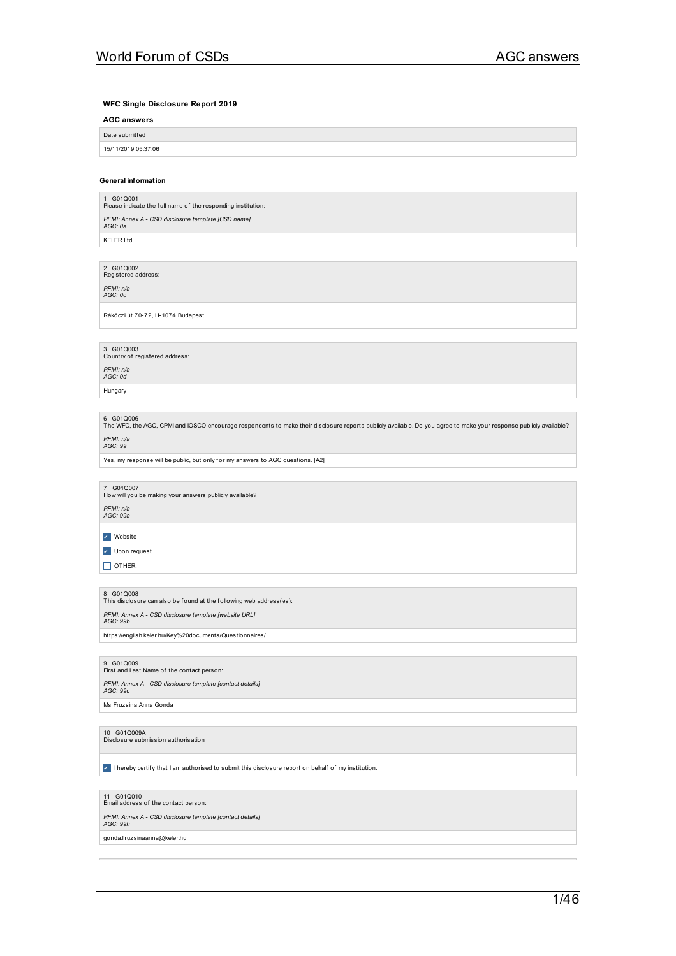### **WFC Single Disclosure Report 2019**

### **AGC answers**

| Date submitted      |  |
|---------------------|--|
| 15/11/2019 05:37:06 |  |
|                     |  |

### **General information**

1 G01Q001<br>Please indicate the full name of the responding institution: *PFMI: Annex A -CSD disclosure template [CSD name] AGC: 0a* KELER Ltd.

2 G01Q002<br>Registered address:

*PFMI: n/a AGC: 0c*

Rákóczi út 70-72, H-1074 Budapest

3 G01Q003<br>Country of registered address: *PFMI: n/a AGC: 0d*

Hungary

6 G01Q006<br>The WFC, the AGC, CPMI and IOSCO encourage respondents to make their disclosure reports publicly available. Do you agree to make your response publicly available? *PFMI: n/a AGC: 99*

Yes, my response will be public, but only for my answers to AGC questions. [A2]

7 G01Q007<br>How will you be making your answers publicly available? *PFMI: n/a AGC: 99a*

✔ Website

✔ Upon request

 $\Box$  OTHER:

8 G01Q008<br>This disclosure can also be found at the following web address(es): *PFMI: Annex A -CSD disclosure template [website URL] AGC: 99b* https://english.keler.hu/Key%20documents/Questionnaires/

9 G01Q009<br>First and Last Name of the contact person: *PFMI: Annex A -CSD disclosure template [contact details] AGC: 99c* Ms Fruzsina Anna Gonda

10 G01Q009A<br>Disclosure submission authorisation

✔ I hereby certif y that I am authorised to submit this disclosure report on behalf of my institution.

11 G01Q010<br>Email address of the contact person: *PFMI: Annex A -CSD disclosure template [contact details] AGC: 99h* gonda.fruzsinaanna@keler.hu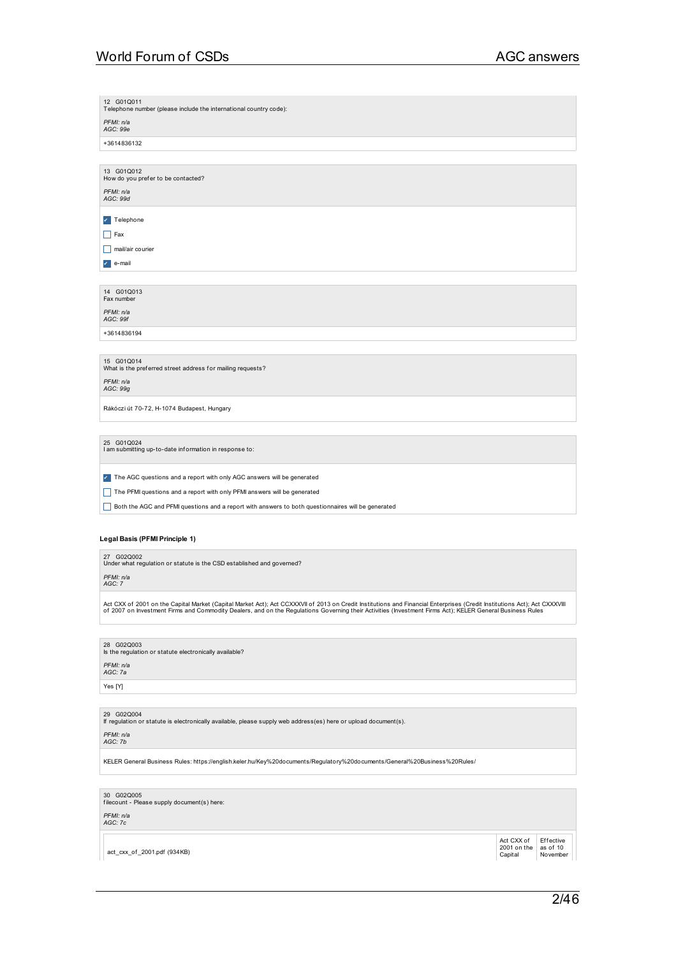| 12 G01Q011<br>Telephone number (please include the international country code):                                                                                                                                                                                                                                                        |
|----------------------------------------------------------------------------------------------------------------------------------------------------------------------------------------------------------------------------------------------------------------------------------------------------------------------------------------|
| PFMI: n/a<br>AGC: 99e                                                                                                                                                                                                                                                                                                                  |
| +3614836132                                                                                                                                                                                                                                                                                                                            |
|                                                                                                                                                                                                                                                                                                                                        |
| 13 G01Q012<br>How do you prefer to be contacted?                                                                                                                                                                                                                                                                                       |
| PFMI: n/a<br>AGC: 99d                                                                                                                                                                                                                                                                                                                  |
| <b>7</b> Telephone                                                                                                                                                                                                                                                                                                                     |
| $\Box$ Fax                                                                                                                                                                                                                                                                                                                             |
| $\Box$ mail/air courier                                                                                                                                                                                                                                                                                                                |
| $\mathbf{r}$ e-mail                                                                                                                                                                                                                                                                                                                    |
| 14 G01Q013                                                                                                                                                                                                                                                                                                                             |
| Fax number                                                                                                                                                                                                                                                                                                                             |
| PFMI: n/a<br>AGC: 99f                                                                                                                                                                                                                                                                                                                  |
| +3614836194                                                                                                                                                                                                                                                                                                                            |
|                                                                                                                                                                                                                                                                                                                                        |
| 15 G01Q014<br>What is the preferred street address for mailing requests?                                                                                                                                                                                                                                                               |
| PFMI: n/a<br>AGC: 99g                                                                                                                                                                                                                                                                                                                  |
| Rákóczi út 70-72, H-1074 Budapest, Hungary                                                                                                                                                                                                                                                                                             |
|                                                                                                                                                                                                                                                                                                                                        |
| 25 G01Q024<br>I am submitting up-to-date information in response to:                                                                                                                                                                                                                                                                   |
| The AGC questions and a report with only AGC answers will be generated                                                                                                                                                                                                                                                                 |
| The PFMI questions and a report with only PFMI answers will be generated                                                                                                                                                                                                                                                               |
| Both the AGC and PFMI questions and a report with answers to both questionnaires will be generated                                                                                                                                                                                                                                     |
|                                                                                                                                                                                                                                                                                                                                        |
| Legal Basis (PFMI Principle 1)                                                                                                                                                                                                                                                                                                         |
| 27 G02Q002<br>Under what regulation or statute is the CSD established and governed?                                                                                                                                                                                                                                                    |
| PFMI: n/a<br>AGC: 7                                                                                                                                                                                                                                                                                                                    |
| Act CXX of 2001 on the Capital Market (Capital Market Act); Act CCXXXVII of 2013 on Credit Institutions and Financial Enterprises (Credit Institutions Act); Act CXXXVIII<br>of 2007 on Investment Firms and Commodity Dealers, and on the Regulations Governing their Activities (Investment Firms Act); KELER General Business Rules |
|                                                                                                                                                                                                                                                                                                                                        |
| 28 G02Q003<br>Is the regulation or statute electronically available?                                                                                                                                                                                                                                                                   |
|                                                                                                                                                                                                                                                                                                                                        |

*PFMI: n/a AGC: 7a*

Yes [Y]

29 G02Q004 If regulation or statute is electronically available, please supply web address(es) here or upload document(s).

*PFMI: n/a AGC: 7b*

KELER General Business Rules: https://english.keler.hu/Key%20documents/Regulatory%20documents/General%20Business%20Rules/

30 G02Q005 f ilecount - Please supply document(s) here:

*PFMI: n/a AGC: 7c*

act\_cxx\_of \_2001.pdf (934KB)

Act CXX of 2001 on the Capital Effective<br>as of 10<br>November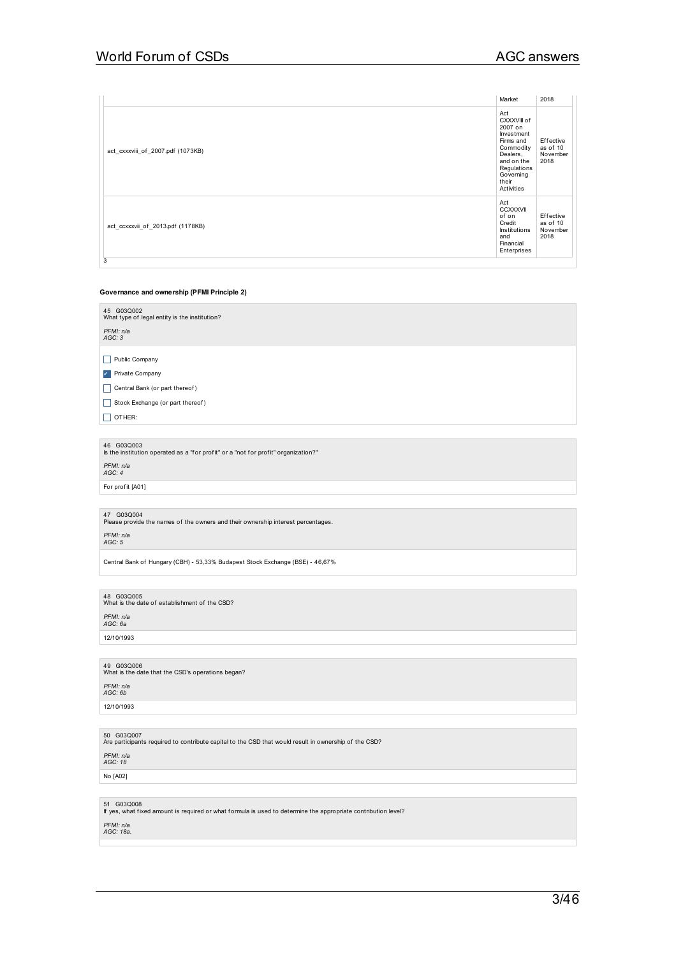|                                   | Market                                                                                                                                             | 2018                                      |
|-----------------------------------|----------------------------------------------------------------------------------------------------------------------------------------------------|-------------------------------------------|
| act_cxxxviii_of_2007.pdf (1073KB) | Act<br>CXXXVIII of<br>2007 on<br>Investment<br>Firms and<br>Commodity<br>Dealers,<br>and on the<br>Regulations<br>Governing<br>their<br>Activities | Effective<br>as of 10<br>November<br>2018 |
| act ccxxxvii of 2013.pdf (1178KB) | Act<br><b>CCXXXVII</b><br>of on<br>Credit<br>Institutions<br>and<br>Financial<br>Enterprises                                                       | Effective<br>as of 10<br>November<br>2018 |
| 3                                 |                                                                                                                                                    |                                           |

### **Governance and ownership (PFMI Principle 2)**

46 G03Q003 Is the institution operated as a "f or prof it" or a "not f or prof it" organization?"

*PFMI: n/a AGC: 4*

For profit [A01]

47 G03Q004<br>Please provide the names of the owners and their ownership interest percentages.

*PFMI: n/a AGC: 5*

Central Bank of Hungary (CBH) - 53,33% Budapest Stock Exchange (BSE) - 46,67%

48  $\,$  G03Q005<br>What is the date of establishment of the CSD? *PFMI: n/a AGC: 6a*

12/10/1993

49 G03Q006<br>What is the date that the CSD's operations began? *PFMI: n/a AGC: 6b* 12/10/1993

50 G03Q007<br>Are participants required to contribute capital to the CSD that would result in ownership of the CSD? *PFMI: n/a AGC: 18*

No [A02]

51 G03Q008<br>If yes, what fixed amount is required or what formula is used to determine the appropriate contribution level?

*PFMI: n/a AGC: 18a.*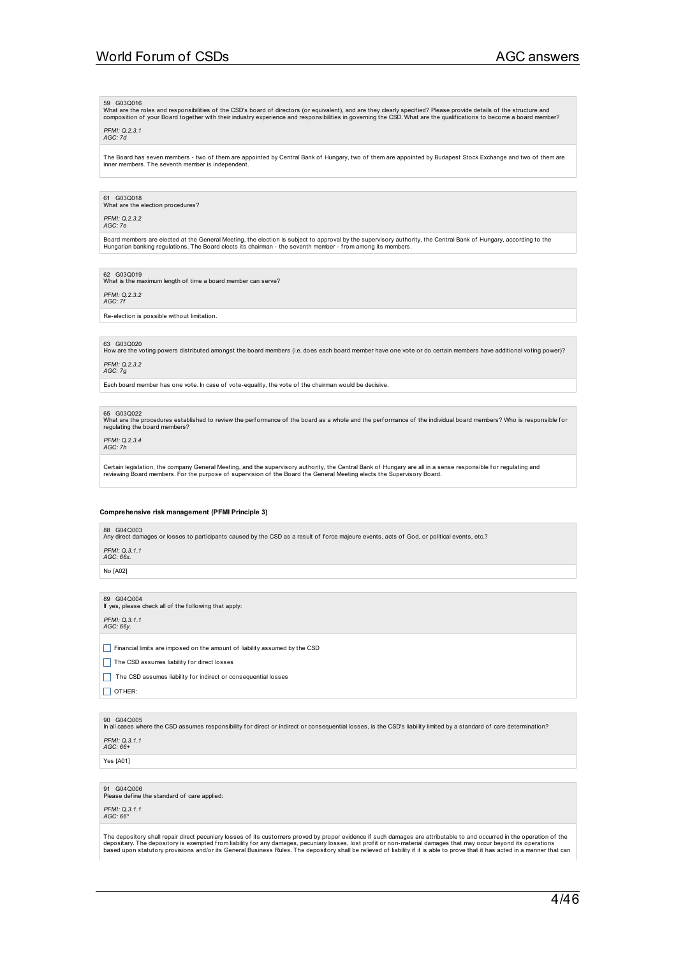### 59 G03Q016

What are the roles and responsibilities of the CSD's board of directors (or equivalent), and are they clearly specified? Please provide details of the structure and<br>composition of your Board together with their industry ex

### *PFMI: Q.2.3.1 AGC: 7d*

The Board has seven members - two of them are appointed by Central Bank of Hungary, two of them are appointed by Budapest Stock Exchange and two of them are inner members. The seventh member is independent.

### 61 G03Q018

What are the election procedures?

### *PFMI: Q.2.3.2 AGC: 7e*

Board members are elected at the General Meeting, the election is subject to approval by the supervisory authority, the Central Bank of Hungary, according to the<br>Hungarian banking regulations. The Board elects its chairman

62 G03Q019<br>What is the maximum length of time a board member can serve?

*PFMI: Q.2.3.2 AGC: 7f*

Re-election is possible without limitation.

### 63 G03Q020

How are the voting powers distributed amongst the board members (i.e. does each board member have one vote or do certain members have additional voting power)? *PFMI: Q.2.3.2*

### *AGC: 7g*

Each board member has one vote. In case of vote-equality, the vote of the chairman would be decisive.

### 65 G03Q022

What are the procedures established to review the performance of the board as a whole and the performance of the individual board members? Who is responsible for<br>regulating the board members?

### *PFMI: Q.2.3.4 AGC: 7h*

Certain legislation, the company General Meeting, and the supervisory authority, the Central Bank of Hungary are all in a sense responsible for regulating and<br>reviewing Board members. For the purpose of supervision of the

### **Comprehensive risk management (PFMI Principle 3)**

### 88 G04Q003

Any direct damages or losses to participants caused by the CSD as a result of f orce majeure events, acts of God, or political events, etc.?

*PFMI: Q.3.1.1 AGC: 66x.*

No [A02]

89 G04Q004 If yes, please check all of the f ollowing that apply: *PFMI: Q.3.1.1 AGC: 66y.*

 $\Box$  Financial limits are imposed on the amount of liability assumed by the CSD

 $\Box$  The CSD assumes liability for direct losses

The CSD assumes liability for indirect or consequential losses

 $\Box$  OTHER:

90 G04Q005<br>In all cases where the CSD assumes responsibility for direct or indirect or consequential losses, is the CSD's liability limited by a standard of care determination? *PFMI: Q.3.1.1*

*AGC: 66+*

Yes [A01]

91 G04Q006<br>Please define the standard of care applied:

## *PFMI: Q.3.1.1 AGC: 66\**

The depository shall repair direct pecuniary losses of its customers proved by proper evidence if such damages are attributable to and occurred in the operation of the<br>depositary. The depository is exempted from liability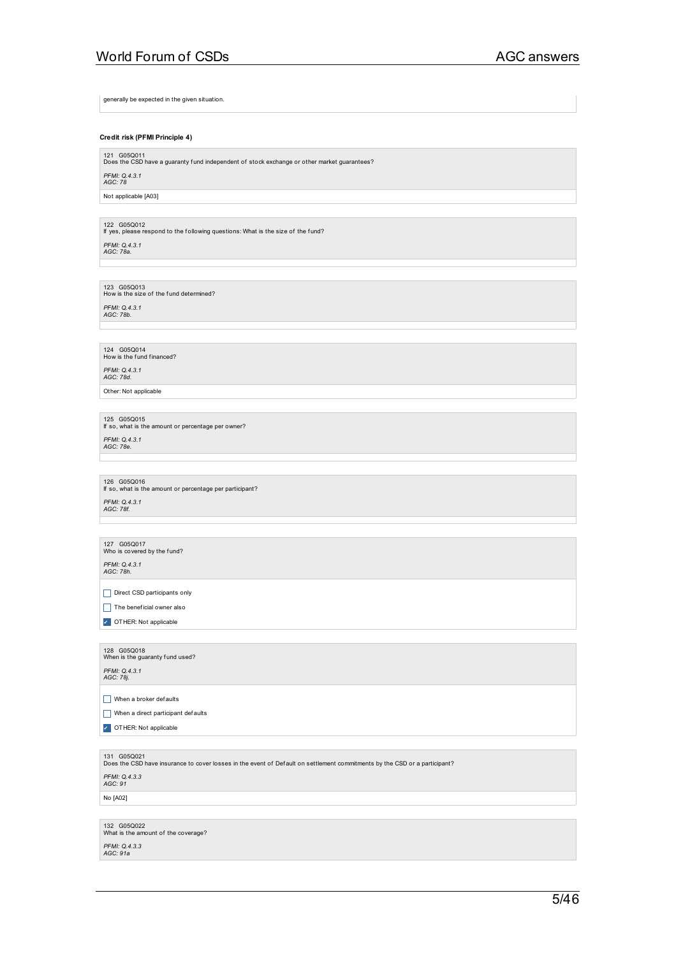generally be expected in the given situation.

### **Credit risk (PFMI Principle 4)**

121 G05Q011<br>Does the CSD have a guaranty fund independent of stock exchange or other market guarantees?

*PFMI: Q.4.3.1 AGC: 78* Not applicable [A03]

122 G05Q012 If yes, please respond to the f ollowing questions: What is the size of the f und? *PFMI: Q.4.3.1 AGC: 78a.*

123 G05Q013<br>How is the size of the fund determined?

*PFMI: Q.4.3.1 AGC: 78b.*

124 G05Q014<br>How is the fund financed? *PFMI: Q.4.3.1 AGC: 78d.*

Other: Not applicable

125 G05Q015 If so, what is the amount or percentage per owner? *PFMI: Q.4.3.1 AGC: 78e.*

126 G05Q016 If so, what is the amount or percentage per participant? *PFMI: Q.4.3.1 AGC: 78f.*

127 G05Q017<br>Who is covered by the fund?

*PFMI: Q.4.3.1 AGC: 78h.*

Direct CSD participants only

 $\Box$  The beneficial owner also

✔ OTHER: Not applicable

128 G05Q018<br>When is the guaranty fund used? *PFMI: Q.4.3.1 AGC: 78j.*

 $\Box$  When a broker defaults

When a direct participant defaults

**7** OTHER: Not applicable

131 G05Q021<br>Does the CSD have insurance to cover losses in the event of Default on settlement commitments by the CSD or a participant?

*PFMI: Q.4.3.3 AGC: 91*

No [A02]

132 G05Q022<br>What is the amount of the coverage? *PFMI: Q.4.3.3 AGC: 91a*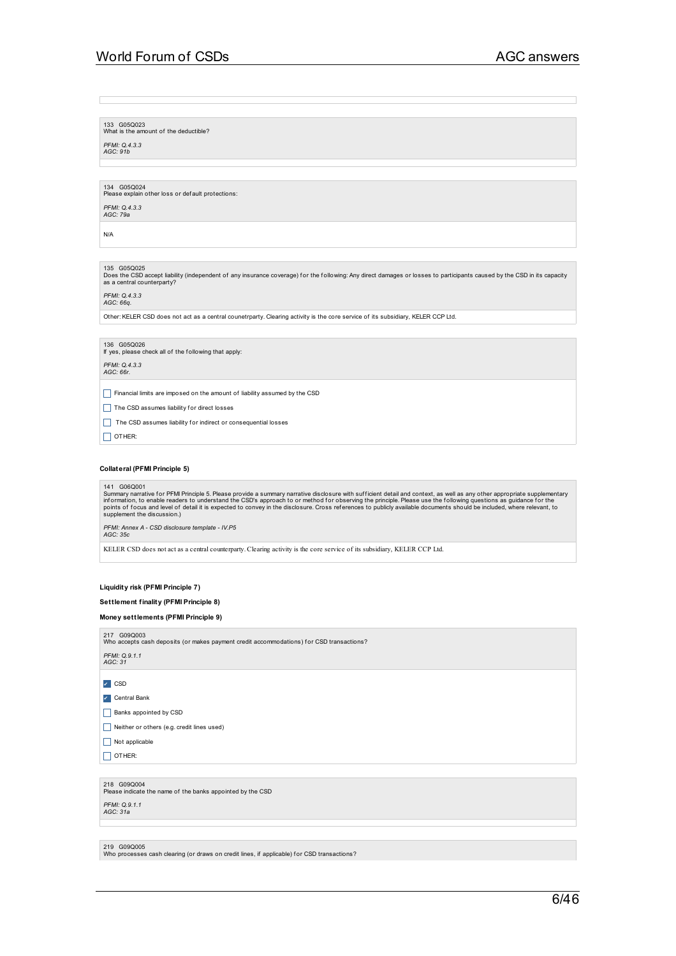133 G05Q023<br>What is the amount of the deductible?

*PFMI: Q.4.3.3 AGC: 91b*

134 G05Q024<br>Please explain other loss or def ault protections: *PFMI: Q.4.3.3*

*AGC: 79a*

N/A

## 135 G05Q025

Does the CSD accept liability (independent of any insurance coverage) for the following: Any direct damages or losses to participants caused by the CSD in its capacity<br>as a central counterparty?

*PFMI: Q.4.3.3 AGC: 66q.*

Other: KELER CSD does not act as a central counetrparty. Clearing activity is the core service of its subsidiary, KELER CCP Ltd.

136 G05Q026 If yes, please check all of the f ollowing that apply: *PFMI: Q.4.3.3 AGC: 66r.* Financial limits are imposed on the amount of liability assumed by the CSD The CSD assumes liability for direct losses The CSD assumes liability for indirect or consequential losses  $\Box$  OTHER:

**Collateral (PFMI Principle 5)**

141 G06Q001<br>Summary narrative for PFMI Principle 5. Please provide a summary narrative disclosure with sufficient detail and context, as well as any other appropriate supplementary<br>information, to enable readers to underst

*PFMI: Annex A -CSD disclosure template - IV.P5 AGC: 35c*

KELER CSD does not act as a central counterparty. Clearing activity is the core service of its subsidiary, KELER CCP Ltd.

### **Liquidity risk (PFMI Principle 7)**

### **Settlement finality (PFMI Principle 8)**

### **Money settlements (PFMI Principle 9)**

217 G09Q003<br>Who accepts cash deposits (or makes payment credit accommodations) for CSD transactions?

*PFMI: Q.9.1.1 AGC: 31*

✔ CSD

✔ Central Bank

Banks appointed by CSD

Neither or others (e.g. credit lines used)

 $\Box$  Not applicable

 $\Box$  OTHER:

218 G09Q004<br>Please indicate the name of the banks appointed by the CSD

*PFMI: Q.9.1.1 AGC: 31a*

219 G09Q005<br>Who processes cash clearing (or draws on credit lines, if applicable) for CSD transactions?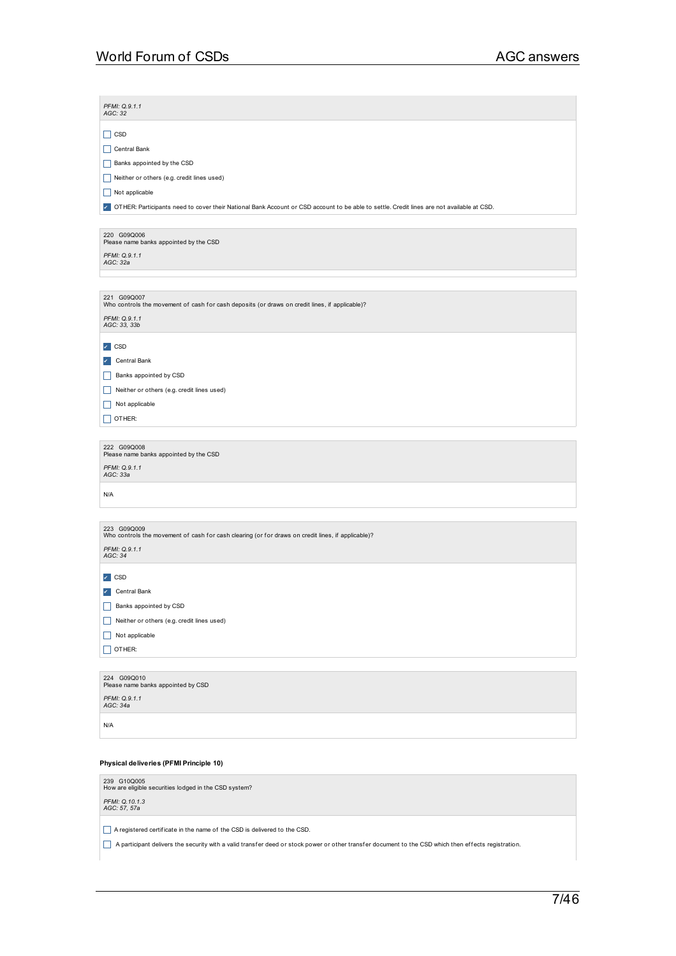$\mathcal{L}_{\mathcal{A}}$ 

| PFMI: Q.9.1.1<br>AGC: 32                                                                                                                  |
|-------------------------------------------------------------------------------------------------------------------------------------------|
| $\Box$ CSD                                                                                                                                |
| Central Bank                                                                                                                              |
| Banks appointed by the CSD                                                                                                                |
| Neither or others (e.g. credit lines used)                                                                                                |
| Not applicable                                                                                                                            |
| OTHER: Participants need to cover their National Bank Account or CSD account to be able to settle. Credit lines are not available at CSD. |
|                                                                                                                                           |
| 220 G09Q006                                                                                                                               |
| Please name banks appointed by the CSD                                                                                                    |
| PFMI: Q.9.1.1<br>AGC: 32a                                                                                                                 |
|                                                                                                                                           |
| 221 G09Q007<br>Who controls the movement of cash for cash deposits (or draws on credit lines, if applicable)?                             |
| PFMI: Q.9.1.1                                                                                                                             |
| AGC: 33, 33b                                                                                                                              |
| $\sqrt{}$ CSD                                                                                                                             |
| $\mathcal{L}_{\mathcal{A}}$<br>Central Bank                                                                                               |
| Banks appointed by CSD<br>H                                                                                                               |
| Neither or others (e.g. credit lines used)<br>H                                                                                           |
| Not applicable<br>H                                                                                                                       |
| OTHER:                                                                                                                                    |
|                                                                                                                                           |
| 222 G09Q008<br>Please name banks appointed by the CSD                                                                                     |
| PFMI: Q.9.1.1                                                                                                                             |
| AGC: 33a                                                                                                                                  |
| N/A                                                                                                                                       |
|                                                                                                                                           |
| 223 G09Q009                                                                                                                               |
| Who controls the movement of cash for cash clearing (or for draws on credit lines, if applicable)?                                        |
| PFMI: Q.9.1.1<br>AGC: 34                                                                                                                  |
|                                                                                                                                           |
| $\sqrt{2}$ CSD                                                                                                                            |
| Central Bank<br>$\checkmark$                                                                                                              |
| Banks appointed by CSD                                                                                                                    |
| Neither or others (e.g. credit lines used)<br>Ш                                                                                           |
| Not applicable<br>H                                                                                                                       |
| $\Box$ OTHER:                                                                                                                             |
|                                                                                                                                           |
| 224 G09Q010<br>Please name banks appointed by CSD                                                                                         |
| PFMI: Q.9.1.1<br>AGC: 34a                                                                                                                 |
|                                                                                                                                           |
|                                                                                                                                           |
| N/A                                                                                                                                       |

**Physical deliveries (PFMI Principle 10)**

239 G10Q005<br>How are eligible securities lodged in the CSD system? *PFMI: Q.10.1.3 AGC: 57, 57a*

A registered certificate in the name of the CSD is delivered to the CSD.

A participant delivers the security with a valid transfer deed or stock power or other transfer document to the CSD which then effects registration.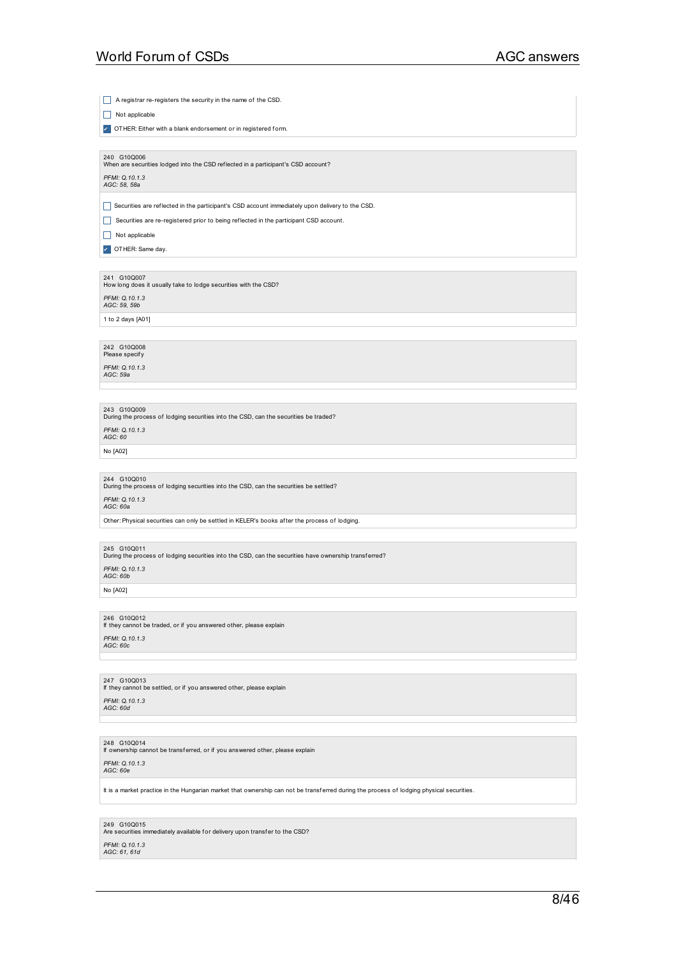## 8/46

## *PFMI: Q.10.1.3 AGC: 61, 61d*

249 G10Q015<br>Are securities immediately available for delivery upon transfer to the CSD?

It is a market practice in the Hungarian market that ownership can not be transferred during the process of lodging physical securities.

### *PFMI: Q.10.1.3 AGC: 60e*

248 G10Q014 If ownership cannot be transf erred, or if you answered other, please explain

*PFMI: Q.10.1.3 AGC: 60d*

247 G10Q013 If they cannot be settled, or if you answered other, please explain

# *PFMI: Q.10.1.3 AGC: 60c*

246 G10Q012 If they cannot be traded, or if you answered other, please explain

### No [A02]

*PFMI: Q.10.1.3 AGC: 60b*

245 G10Q011<br>During the process of lodging securities into the CSD, can the securities have ownership transf erred?

Other: Physical securities can only be settled in KELER's books af ter the process of lodging.

## *PFMI: Q.10.1.3 AGC: 60a*

244 G10Q010<br>During the process of lodging securities into the CSD, can the securities be settled?

No [A02]

*PFMI: Q.10.1.3 AGC: 60*

243 G10Q009<br>During the process of lodging securities into the CSD, can the securities be traded?

*PFMI: Q.10.1.3 AGC: 59a*

*PFMI: Q.10.1.3 AGC: 59, 59b* 1 to 2 days [A01]

242 G10Q008<br>Please specify

241 G10Q007<br>How long does it usually take to lodge securities with the CSD?

 $\Box$  Not applicable **7** OTHER: Same day.

*PFMI: Q.10.1.3 AGC: 58, 58a*

Securities are reflected in the participant's CSD account immediately upon delivery to the CSD.

Securities are re-registered prior to being reflected in the participant CSD account.

 $\Box$  Not applicable

A registrar re-registers the security in the name of the CSD.

**7** OTHER: Either with a blank endorsement or in registered form.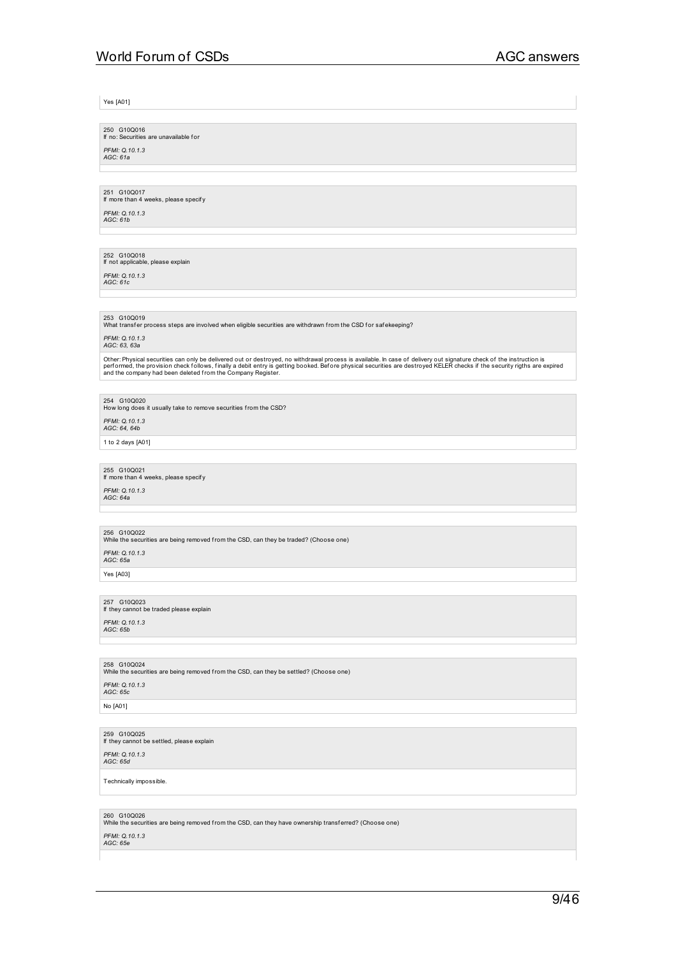Yes [A01]

250 G10Q016 If no: Securities are unavailable for

*PFMI: Q.10.1.3 AGC: 61a*

251 G10Q017 If more than 4 weeks, please specif y

*PFMI: Q.10.1.3 AGC: 61b*

### 252 G10Q018 If not applicable, please explain

*PFMI: Q.10.1.3 AGC: 61c*

253 G10Q019<br>What transfer process steps are involved when eligible securities are withdrawn from the CSD for safekeeping?

## *PFMI: Q.10.1.3 AGC: 63, 63a*

Other: Physical securities can only be delivered out or destroyed, no withdrawal process is available. In case of delivery out signature check of the instruction is<br>performed, the provision check follows, finally a debit e

254 G10Q020<br>How long does it usually take to remove securities from the CSD?

*PFMI: Q.10.1.3 AGC: 64, 64b*

1 to 2 days [A01]

255 G10Q021 If more than 4 weeks, please specif y

*PFMI: Q.10.1.3 AGC: 64a*

256 G10Q022<br>While the securities are being removed from the CSD, can they be traded? (Choose one)

*PFMI: Q.10.1.3 AGC: 65a*

Yes [A03]

257 G10Q023 If they cannot be traded please explain

*PFMI: Q.10.1.3 AGC: 65b*

## 258 G10Q024<br>While the securities are being removed from the CSD, can they be settled? (Choose one) *PFMI: Q.10.1.3 AGC: 65c*

No [A01]

259 G10Q025 If they cannot be settled, please explain

*PFMI: Q.10.1.3 AGC: 65d*

Technically impossible.

260 G10Q026<br>While the securities are being removed from the CSD, can they have ownership transferred? (Choose one)

## *PFMI: Q.10.1.3 AGC: 65e*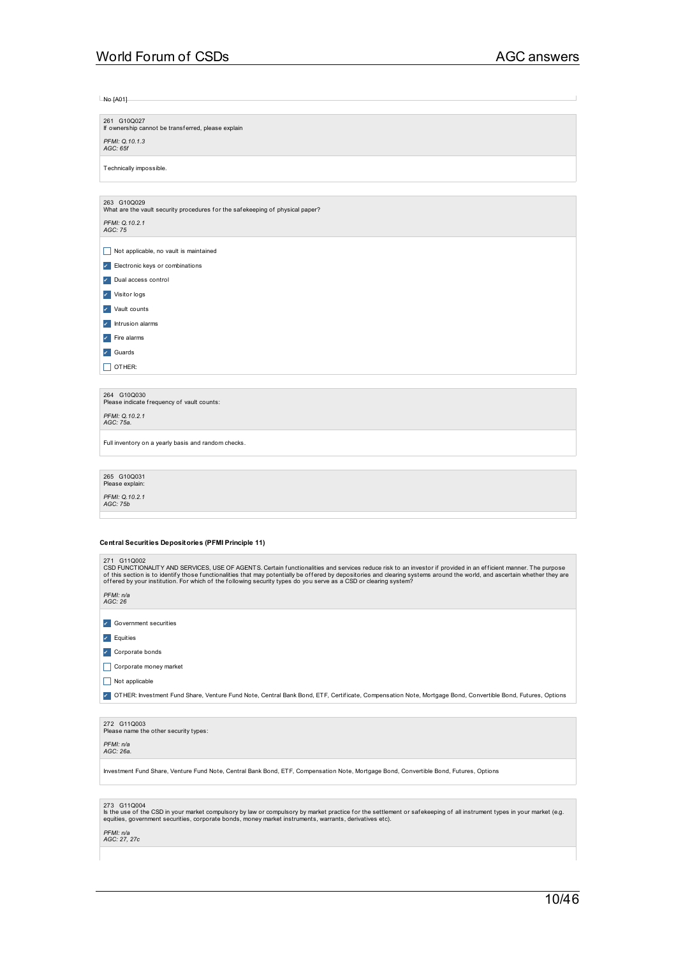| $No$ [A01]                                                                                   |
|----------------------------------------------------------------------------------------------|
|                                                                                              |
| 261 G10Q027<br>If ownership cannot be transferred, please explain                            |
|                                                                                              |
| PFMI: Q.10.1.3<br>AGC: 65f                                                                   |
| Technically impossible.                                                                      |
|                                                                                              |
| 263 G10Q029<br>What are the vault security procedures for the safekeeping of physical paper? |
| PFMI: Q.10.2.1<br>AGC: 75                                                                    |
| Not applicable, no vault is maintained<br>$\Box$                                             |
| Electronic keys or combinations<br>×                                                         |
| Dual access control<br>×                                                                     |
| Visitor logs<br>✓                                                                            |
| Vault counts<br>И                                                                            |
| Intrusion alarms<br>✓                                                                        |
| Fire alarms<br>×.                                                                            |
| Guards<br>✓                                                                                  |
| OTHER:                                                                                       |
|                                                                                              |
| 264 G10Q030<br>Please indicate frequency of vault counts:                                    |
| PFMI: 0.10.2.1<br>AGC: 75a.                                                                  |
| Full inventory on a yearly basis and random checks.                                          |

265 G10Q031<br>Please explain:

*PFMI: Q.10.2.1 AGC: 75b*

### **Central Securities Depositories (PFMI Principle 11)**

| 271 G110002 |
|-------------|
|             |

| 21 I VIIVXVVA<br>CSD FUNCTIONALITY AND SERVICES, USE OF AGENTS. Certain functionalities and services reduce risk to an investor if provided in an efficient manner. The purpose<br>of this section is to identify those functionalities that may potentially be offered by depositories and clearing systems around the world, and ascertain whether they are<br>offered by your institution. For which of the following security types do you serve as a CSD or clearing system? |
|-----------------------------------------------------------------------------------------------------------------------------------------------------------------------------------------------------------------------------------------------------------------------------------------------------------------------------------------------------------------------------------------------------------------------------------------------------------------------------------|
| PFMI: n/a<br>AGC: 26                                                                                                                                                                                                                                                                                                                                                                                                                                                              |
| Government securities                                                                                                                                                                                                                                                                                                                                                                                                                                                             |
| $\blacktriangleright$ Equities                                                                                                                                                                                                                                                                                                                                                                                                                                                    |
| Corporate bonds                                                                                                                                                                                                                                                                                                                                                                                                                                                                   |
| Corporate money market                                                                                                                                                                                                                                                                                                                                                                                                                                                            |
| Not applicable                                                                                                                                                                                                                                                                                                                                                                                                                                                                    |
| OTHER: Investment Fund Share, Venture Fund Note, Central Bank Bond, ETF, Certificate, Compensation Note, Mortgage Bond, Convertible Bond, Futures, Options                                                                                                                                                                                                                                                                                                                        |
|                                                                                                                                                                                                                                                                                                                                                                                                                                                                                   |
| 272 G11Q003<br>Please name the other security types:                                                                                                                                                                                                                                                                                                                                                                                                                              |
| PFMI: n/a<br>AGC: 26a.                                                                                                                                                                                                                                                                                                                                                                                                                                                            |
|                                                                                                                                                                                                                                                                                                                                                                                                                                                                                   |

Investment Fund Share, Venture Fund Note, Central Bank Bond, ETF, Compensation Note, Mortgage Bond, Convertible Bond, Futures, Options

| 273 G11Q004 |
|-------------|
|             |

273 G11Q004<br>Is the use of the CSD in your market compulsory by law or compulsory by market practice for the settlement or safekeeping of all instrument types in your market (e.g.<br>equities, government securities, corporat

*PFMI: n/a AGC: 27, 27c*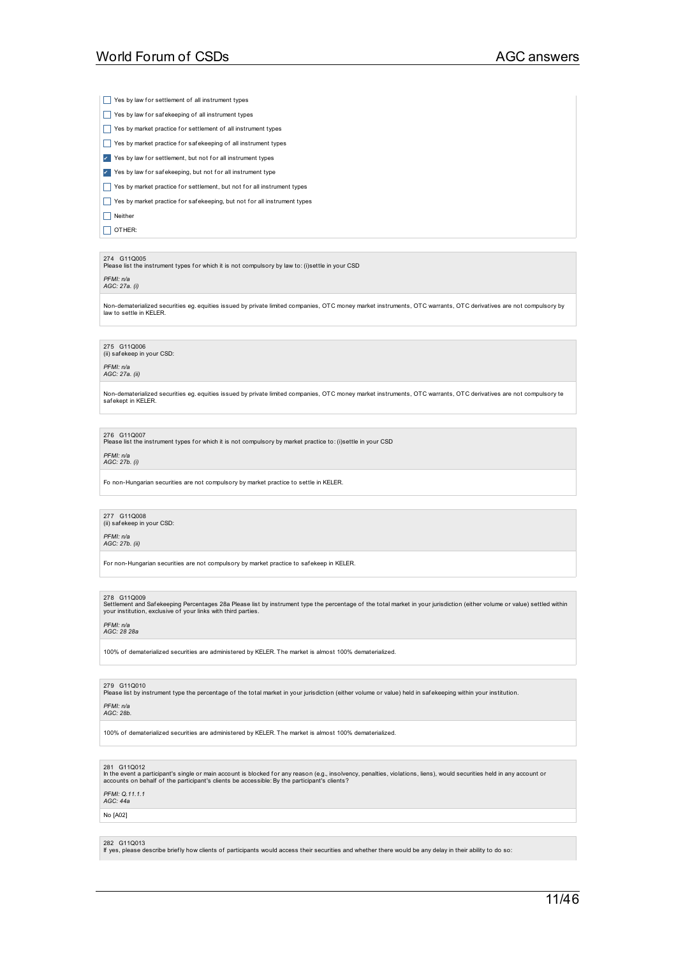$\Box$  Yes by law for settlement of all instrument types

- $\Box$  Yes by law for safekeeping of all instrument types
- Yes by market practice for settlement of all instrument types
- $\Box$  Yes by market practice for safekeeping of all instrument types
- ▼ Yes by law for settlement, but not for all instrument types
- ▼ Yes by law for safekeeping, but not for all instrument type
- $\Box$  Yes by market practice for settlement, but not for all instrument types

 $\Box$  Yes by market practice for safekeeping, but not for all instrument types

 $\Box$  Neither

 $\Box$  OTHER:

### 274 G11Q005

Please list the instrument types f or which it is not compulsory by law to: (i)settle in your CSD

*PFMI: n/a AGC: 27a. (i)*

Non-dematerialized securities eg. equities issued by private limited companies, OTC money market instruments, OTC warrants, OTC derivatives are not compulsory by law to settle in KELER.

275 G11Q006 (ii) saf ekeep in your CSD:

*PFMI: n/a AGC: 27a. (ii)*

Non-dematerialized securities eg. equities issued by private limited companies, OTC money market instruments, OTC warrants, OTC derivatives are not compulsory te saf ekept in KELER.

276 G11Q007

Please list the instrument types f or which it is not compulsory by market practice to: (i)settle in your CSD

*PFMI: n/a AGC: 27b. (i)*

Fo non-Hungarian securities are not compulsory by market practice to settle in KELER.

### 277 G11Q008 (ii) saf ekeep in your CSD:

*PFMI: n/a*

### *AGC: 27b. (ii)*

For non-Hungarian securities are not compulsory by market practice to safekeep in KELER.

278 G11Q009<br>Settlement and Safekeeping Percentages 28a Please list by instrument type the percentage of the total market in your jurisdiction (either volume or value) settled within<br>your institution, exclusive of your link

### *PFMI: n/a AGC: 28 28a*

100% of dematerialized securities are administered by KELER. The market is almost 100% dematerialized.

### 279 G11Q010

Please list by instrument type the percentage of the total market in your jurisdiction (either volume or value) held in saf ekeeping within your institution.

*PFMI: n/a AGC: 28b.*

100% of dematerialized securities are administered by KELER. The market is almost 100% dematerialized.

### 281 G11Q012

In the event a participant's single or main account is blocked for any reason (e.g., insolvency, penalties, violations, liens), would securities held in any account or<br>accounts on behalf of the participant's clients be acc

### *PFMI: Q.11.1.1*

*AGC: 44a*

### No [A02]

282 G11Q013

If yes, please describe brief ly how clients of participants would access their securities and whether there would be any delay in their ability to do so: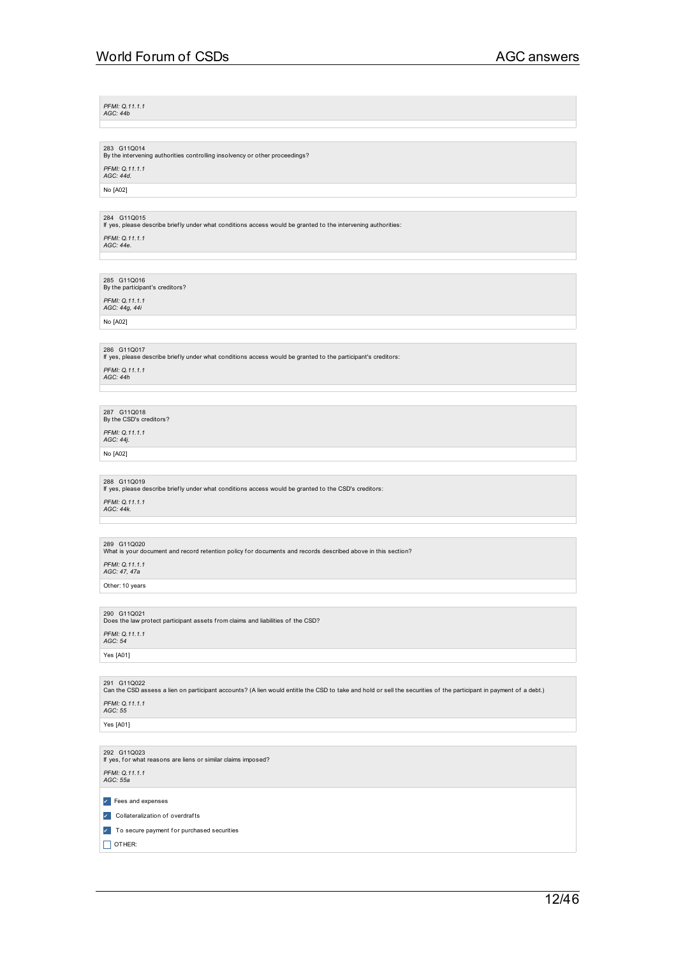12/46

*PFMI: Q.11.1.1 AGC: 44b*

283 G11Q014<br>By the intervening authorities controlling insolvency or other proceedings? *PFMI: Q.11.1.1 AGC: 44d.*

No [A02]

284 G11Q015 If yes, please describe brief ly under what conditions access would be granted to the intervening authorities:

*PFMI: Q.11.1.1 AGC: 44e.*

285 G11Q016<br>By the participant's creditors? *PFMI: Q.11.1.1 AGC: 44g, 44i*

No [A02]

286 G11Q017 If yes, please describe brief ly under what conditions access would be granted to the participant's creditors: *PFMI: Q.11.1.1 AGC: 44h*

287 G11Q018<br>By the CSD's creditors?

*PFMI: Q.11.1.1 AGC: 44j.*

No [A02]

288 G11Q019 If yes, please describe brief ly under what conditions access would be granted to the CSD's creditors: *PFMI: Q.11.1.1 AGC: 44k.*

289 G11Q020<br>What is your document and record retention policy for documents and records described above in this section?

*PFMI: Q.11.1.1 AGC: 47, 47a*

Other: 10 years

290 G11Q021<br>Does the law protect participant assets from claims and liabilities of the CSD?

If yes, for what reasons are liens or similar claims imposed?

**7** To secure payment for purchased securities

*PFMI: Q.11.1.1 AGC: 54*

Yes [A01]

291 G11Q022<br>Can the CSD assess a lien on participant accounts? (A lien would entitle the CSD to take and hold or sell the securities of the participant in payment of a debt.)

292 G11Q023

*PFMI: Q.11.1.1 AGC: 55a*

 $\Box$  OTHER:

✔ Fees and expenses ✔ Collateralization of overdraf ts

Yes [A01]

*PFMI: Q.11.1.1 AGC: 55*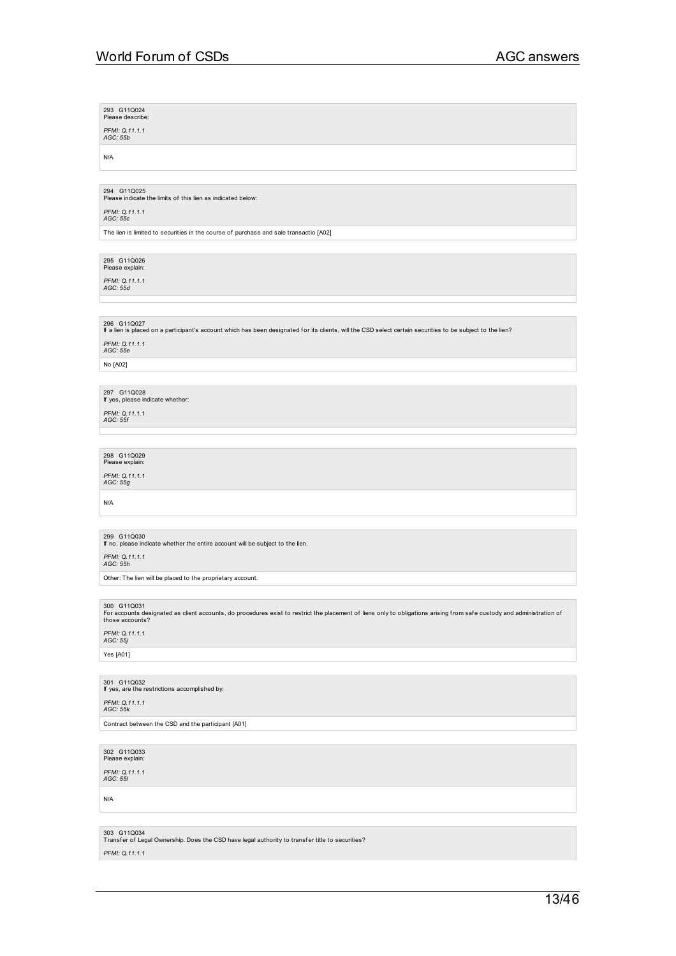293 G11Q024<br>Please describe: *PFMI: Q.11.1.1 AGC: 55b* N/A 294 G11Q025<br>Please indicate the limits of this lien as indicated below: *PFMI: Q.11.1.1 AGC: 55c* The lien is limited to securities in the course of purchase and sale transactio [A02] 295 G11Q026<br>Please explain: *PFMI: Q.11.1.1 AGC: 55d* 296 G11Q027 If a lien is placed on a participant's account which has been designated f or its clients, will the CSD select certain securities to be subject to the lien? *PFMI: Q.11.1.1 AGC: 55e* No [A02] 297 G11Q028 If yes, please indicate whether: *PFMI: Q.11.1.1 AGC: 55f* 298 G11Q029<br>Please explain: *PFMI: Q.11.1.1 AGC: 55g* N/A 299 G11Q030 If no, please indicate whether the entire account will be subject to the lien. *PFMI: Q.11.1.1 AGC: 55h* Other: The lien will be placed to the proprietary account. 300 G11Q031<br>For accounts designated as client accounts, do procedures exist to restrict the placement of liens only to obligations arising from safe custody and administration of<br>those accounts? *PFMI: Q.11.1.1 AGC: 55j* Yes [A01] 301 G11Q032 If yes, are the restrictions accomplished by: *PFMI: Q.11.1.1 AGC: 55k* Contract between the CSD and the participant [A01] 302 G11Q033 Please explain: *PFMI: Q.11.1.1 AGC: 55l*

N/A

303 G11Q034<br>Transfer of Legal Ownership. Does the CSD have legal authority to transfer title to securities?

*PFMI: Q.11.1.1*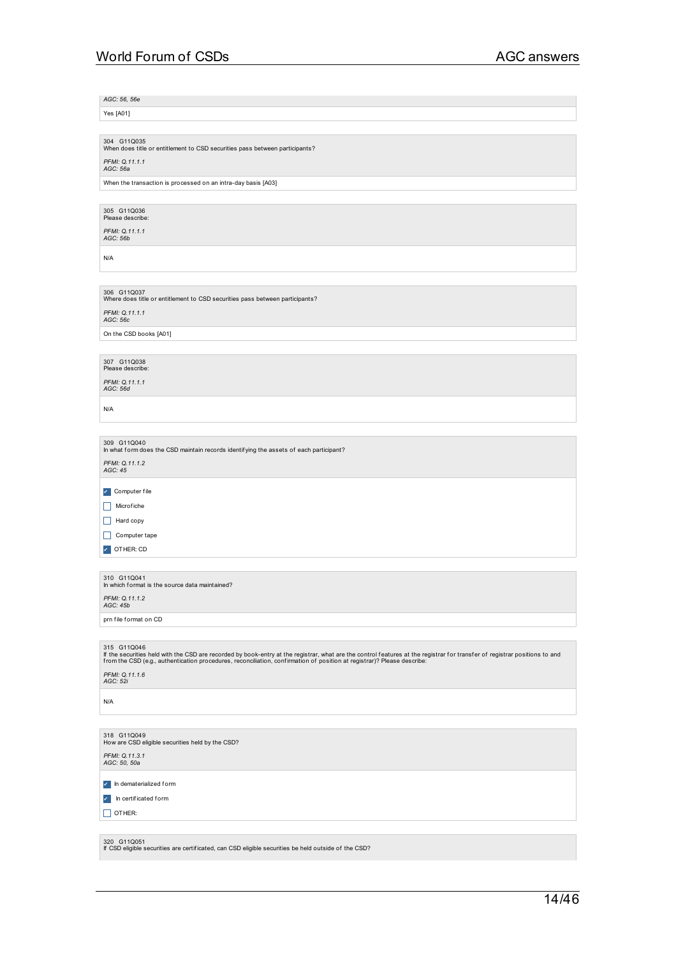*AGC: 56, 56e*

Yes [A01]

304 G11Q035<br>When does title or entitlement to CSD securities pass between participants?

*PFMI: Q.11.1.1 AGC: 56a*

When the transaction is processed on an intra-day basis [A03]

305 G11Q036<br>Please describe:

*PFMI: Q.11.1.1 AGC: 56b*

N/A

306 G11Q037<br>Where does title or entitlement to CSD securities pass between participants? *PFMI: Q.11.1.1 AGC: 56c*

On the CSD books [A01]

307 G11Q038<br>Please describe:

*PFMI: Q.11.1.1 AGC: 56d*

N/A

309 G11Q040<br>In what form does the CSD maintain records identifying the assets of each participant? *PFMI: Q.11.1.2 AGC: 45* ✔ Computer f ile  $\Box$  Microfiche  $\Box$  Hard copy  $\Box$  Computer tape **7** OTHER: CD

310 G11Q041 In which f ormat is the source data maintained? *PFMI: Q.11.1.2 AGC: 45b* prn file format on CD

315 G11Q046<br>If the securities held with the CSD are recorded by book-entry at the registrar, what are the control features at the registrar for transfer of registrar positions to and<br>from the CSD (e.g., authentication pr

*PFMI: Q.11.1.6 AGC: 52i*

N/A

318 G11Q049<br>How are CSD eligible securities held by the CSD? *PFMI: Q.11.3.1 AGC: 50, 50a*

✔ In dematerialized f orm

✔ In certif icated form

 $\Box$  OTHER:

320 G11Q051 If CSD eligible securities are certif icated, can CSD eligible securities be held outside of the CSD?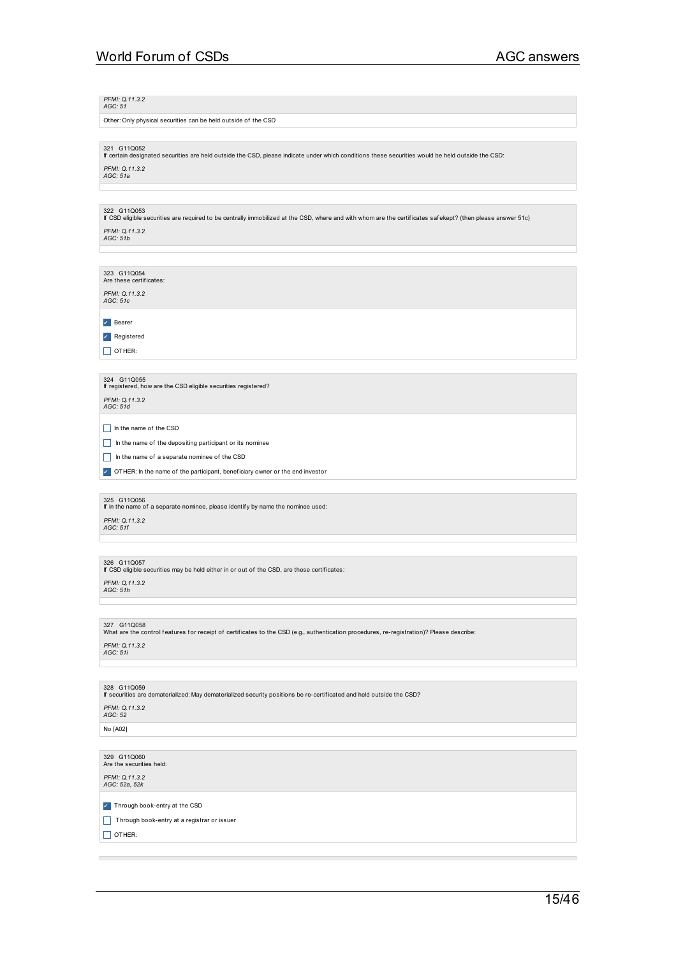### *PFMI: Q.11.3.2 AGC: 51*

Other: Only physical securities can be held outside of the CSD

321 G11Q052 If certain designated securities are held outside the CSD, please indicate under which conditions these securities would be held outside the CSD: *PFMI: Q.11.3.2 AGC: 51a*

322 G11Q053 If CSD eligible securities are required to be centrally immobilized at the CSD, where and with whom are the certif icates saf ekept? (then please answer 51c)

## *PFMI: Q.11.3.2 AGC: 51b*

323 G11Q054<br>Are these certificates:

## *PFMI: Q.11.3.2 AGC: 51c*

✔ Bearer

## ✔ Registered

 $\Box$  OTHER:

## 324 G11Q055 If registered, how are the CSD eligible securities registered?

*PFMI: Q.11.3.2 AGC: 51d*

### $\Box$  In the name of the CSD

In the name of the depositing participant or its nominee

- In the name of a separate nominee of the CSD
- ▼ OTHER: In the name of the participant, beneficiary owner or the end investor

325 G11Q056 If in the name of a separate nominee, please identif y by name the nominee used: *PFMI: Q.11.3.2 AGC: 51f*

326 G11Q057 If CSD eligible securities may be held either in or out of the CSD, are these certif icates:

*PFMI: Q.11.3.2 AGC: 51h*

327 G11Q058<br>What are the control features for receipt of certificates to the CSD (e.g., authentication procedures, re-registration)? Please describe:

### *PFMI: Q.11.3.2 AGC: 51i*

328 G11Q059<br>If securities are de If securities are dematerialized security positions be re-certificated and held outside the CSD?

## *PFMI: Q.11.3.2 AGC: 52*

No [A02]

329 G11Q060<br>Are the securities held:

*PFMI: Q.11.3.2 AGC: 52a, 52k*

**7** Through book-entry at the CSD

Through book-entry at a registrar or issuer

 $\Box$  OTHER: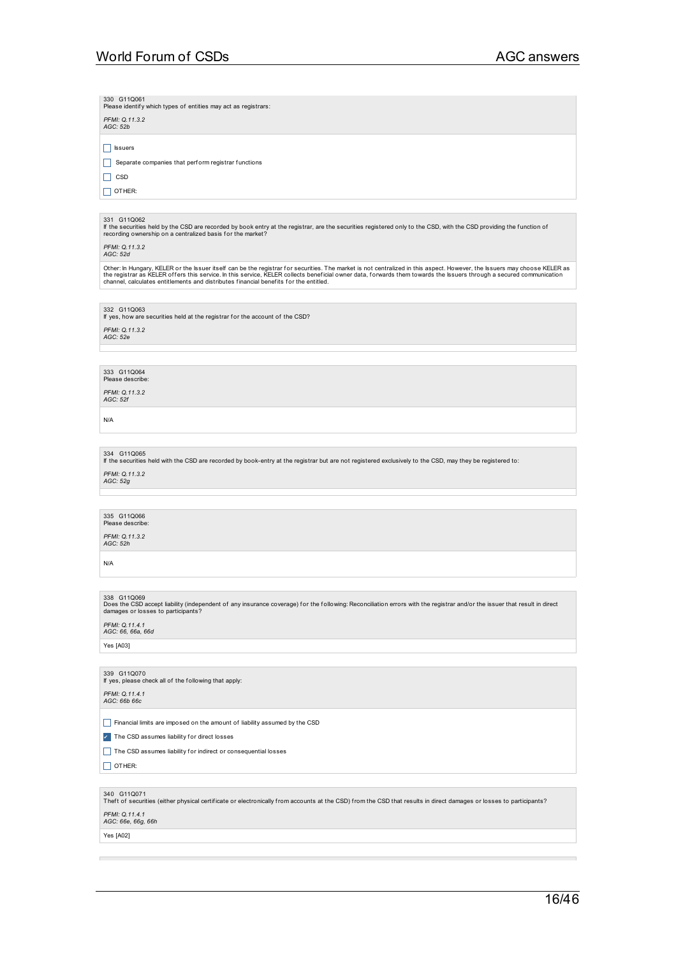| 330 G11Q061<br>Please identify which types of entities may act as registrars:<br>PFMI: Q.11.3.2<br>AGC: 52b                                                                                                                                                                                                                                                                                                                                |
|--------------------------------------------------------------------------------------------------------------------------------------------------------------------------------------------------------------------------------------------------------------------------------------------------------------------------------------------------------------------------------------------------------------------------------------------|
| Issuers<br>Separate companies that perform registrar functions<br>$\Box$ CSD<br>$\vert$   OTHER:                                                                                                                                                                                                                                                                                                                                           |
|                                                                                                                                                                                                                                                                                                                                                                                                                                            |
| 331 G11Q062<br>If the securities held by the CSD are recorded by book entry at the registrar, are the securities registered only to the CSD, with the CSD providing the function of<br>recording ownership on a centralized basis for the market?<br>PFMI: Q.11.3.2<br>AGC: 52d                                                                                                                                                            |
| Other: In Hungary, KELER or the Issuer itself can be the registrar for securities. The market is not centralized in this aspect. However, the Issuers may choose KELER as<br>the registrar as KELER offers this service. In this service, KELER collects beneficial owner data, forwards them towards the Issuers through a secured communication<br>channel, calculates entitlements and distributes financial benefits for the entitled. |
|                                                                                                                                                                                                                                                                                                                                                                                                                                            |
| 332 G11Q063<br>If yes, how are securities held at the registrar for the account of the CSD?<br>PFMI: 0.11.3.2<br>AGC: 52e                                                                                                                                                                                                                                                                                                                  |
|                                                                                                                                                                                                                                                                                                                                                                                                                                            |
| 333 G11Q064<br>Please describe:<br>PFMI: Q.11.3.2<br><b>AGC: 52f</b>                                                                                                                                                                                                                                                                                                                                                                       |
| N/A                                                                                                                                                                                                                                                                                                                                                                                                                                        |
|                                                                                                                                                                                                                                                                                                                                                                                                                                            |
| 334 G11Q065<br>If the securities held with the CSD are recorded by book-entry at the registrar but are not registered exclusively to the CSD, may they be registered to:<br>PFMI: Q.11.3.2<br>AGC: 52g                                                                                                                                                                                                                                     |
|                                                                                                                                                                                                                                                                                                                                                                                                                                            |
| 335 G11Q066<br>Please describe:<br>PFMI: 0.11.3.2<br>AGC: 52h                                                                                                                                                                                                                                                                                                                                                                              |
| N/A                                                                                                                                                                                                                                                                                                                                                                                                                                        |
|                                                                                                                                                                                                                                                                                                                                                                                                                                            |
| 338 G11Q069<br>Does the CSD accept liability (independent of any insurance coverage) for the following: Reconciliation errors with the registrar and/or the issuer that result in direct<br>damages or losses to participants?<br>PFMI: Q.11.4.1<br>AGC: 66, 66a, 66d                                                                                                                                                                      |
| Yes [A03]                                                                                                                                                                                                                                                                                                                                                                                                                                  |
| 339 G11Q070<br>If yes, please check all of the following that apply:<br>PFMI: Q.11.4.1<br>AGC: 66b 66c                                                                                                                                                                                                                                                                                                                                     |
| Financial limits are imposed on the amount of liability assumed by the CSD                                                                                                                                                                                                                                                                                                                                                                 |
| The CSD assumes liability for direct losses                                                                                                                                                                                                                                                                                                                                                                                                |
| The CSD assumes liability for indirect or consequential losses<br>  OTHER:                                                                                                                                                                                                                                                                                                                                                                 |
| 340 G11Q071<br>Theft of securities (either physical certificate or electronically from accounts at the CSD) from the CSD that results in direct damages or losses to participants?<br>PFMI: Q.11.4.1<br>AGC: 66e, 66g, 66h                                                                                                                                                                                                                 |
| Yes [A02]                                                                                                                                                                                                                                                                                                                                                                                                                                  |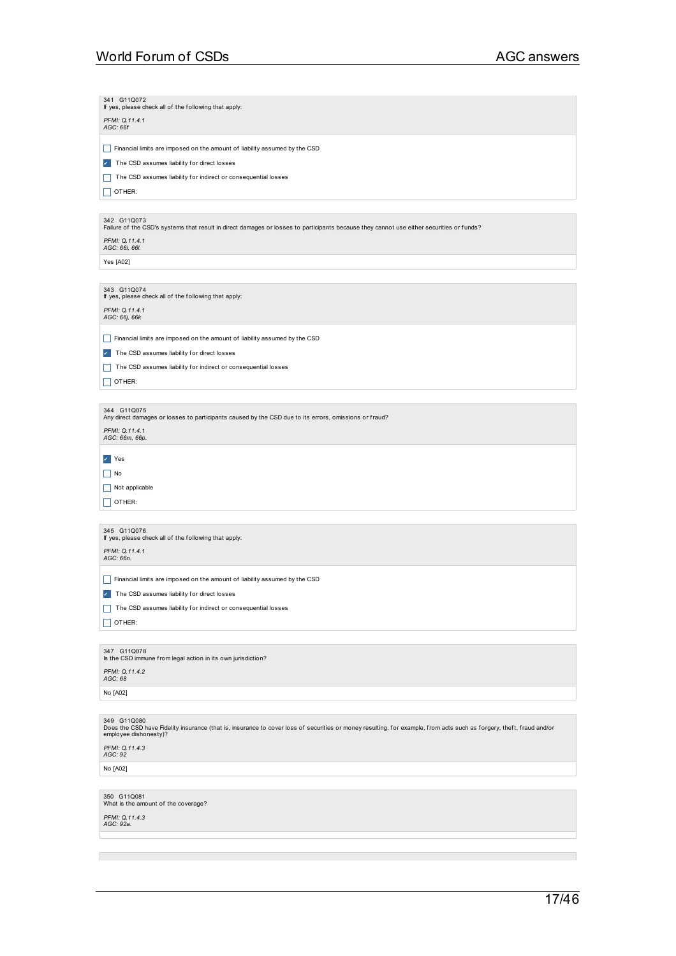| 341 G11Q072<br>If yes, please check all of the following that apply:                                                                                                                                         |
|--------------------------------------------------------------------------------------------------------------------------------------------------------------------------------------------------------------|
| PFMI: Q.11.4.1<br>AGC: 66f                                                                                                                                                                                   |
|                                                                                                                                                                                                              |
| Financial limits are imposed on the amount of liability assumed by the CSD<br>H                                                                                                                              |
| The CSD assumes liability for direct losses<br>$\mathcal{L}_{\mathcal{A}}$                                                                                                                                   |
| The CSD assumes liability for indirect or consequential losses<br>$\mathsf{L}$                                                                                                                               |
| $\vert$   OTHER:                                                                                                                                                                                             |
| 342 G11Q073                                                                                                                                                                                                  |
| Failure of the CSD's systems that result in direct damages or losses to participants because they cannot use either securities or funds?                                                                     |
| PFMI: Q.11.4.1<br>AGC: 66i, 66l.                                                                                                                                                                             |
| Yes [A02]                                                                                                                                                                                                    |
|                                                                                                                                                                                                              |
| 343 G11Q074<br>If yes, please check all of the following that apply:                                                                                                                                         |
| PFMI: Q.11.4.1<br>AGC: 66j, 66k                                                                                                                                                                              |
| Financial limits are imposed on the amount of liability assumed by the CSD                                                                                                                                   |
| $\perp$<br>The CSD assumes liability for direct losses                                                                                                                                                       |
| $\checkmark$                                                                                                                                                                                                 |
| The CSD assumes liability for indirect or consequential losses                                                                                                                                               |
| OTHER:<br>H                                                                                                                                                                                                  |
| 344 G11Q075                                                                                                                                                                                                  |
| Any direct damages or losses to participants caused by the CSD due to its errors, omissions or fraud?                                                                                                        |
| PFMI: Q.11.4.1<br>AGC: 66m, 66p.                                                                                                                                                                             |
| $\vee$ Yes                                                                                                                                                                                                   |
| $\vert$ No                                                                                                                                                                                                   |
| Not applicable                                                                                                                                                                                               |
| $\vert$ OTHER:                                                                                                                                                                                               |
|                                                                                                                                                                                                              |
| 345 G11Q076<br>If yes, please check all of the following that apply:                                                                                                                                         |
| PFMI: Q.11.4.1                                                                                                                                                                                               |
| AGC: 66n.                                                                                                                                                                                                    |
| H<br>Financial limits are imposed on the amount of liability assumed by the CSD                                                                                                                              |
| The CSD assumes liability for direct losses<br>$\checkmark$                                                                                                                                                  |
| The CSD assumes liability for indirect or consequential losses                                                                                                                                               |
| OTHER:                                                                                                                                                                                                       |
| 347 G11Q078<br>Is the CSD immune from legal action in its own jurisdiction?                                                                                                                                  |
| PFMI: Q.11.4.2<br>AGC: 68                                                                                                                                                                                    |
| No [A02]                                                                                                                                                                                                     |
|                                                                                                                                                                                                              |
| 349 G11Q080<br>Does the CSD have Fidelity insurance (that is, insurance to cover loss of securities or money resulting, for example, from acts such as forgery, theft, fraud and/or<br>employee dishonesty)? |
| PFMI: Q.11.4.3<br>AGC: 92                                                                                                                                                                                    |
| No [A02]                                                                                                                                                                                                     |
|                                                                                                                                                                                                              |
| 350 G11Q081<br>What is the amount of the coverage?                                                                                                                                                           |
| PFMI: Q.11.4.3<br>AGC: 92a.                                                                                                                                                                                  |

a series and the series of the series of the series of the series of the series of the series of the series of

 $\mathcal{L}_{\mathcal{A}}$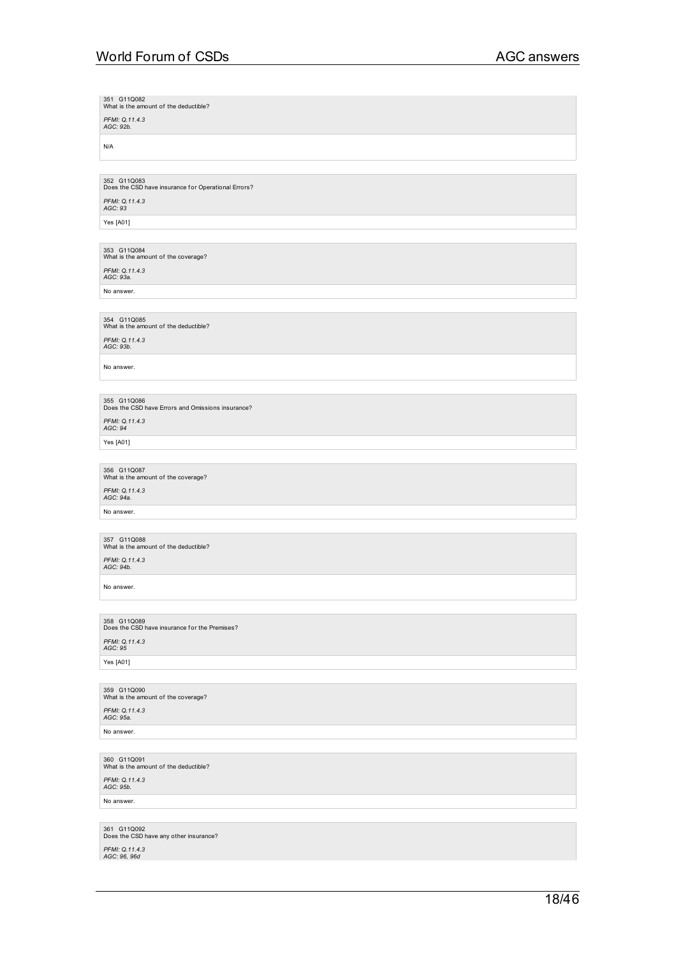351 G11Q082<br>What is the amount of the deductible? *PFMI: Q.11.4.3 AGC: 92b.* N/A 352 G11Q083<br>Does the CSD have insurance for Operational Errors? *PFMI: Q.11.4.3 AGC: 93* Yes [A01] 353 G11Q084<br>What is the amount of the coverage? *PFMI: Q.11.4.3 AGC: 93a.* No answer. 354 G11Q085<br>What is the amount of the deductible? *PFMI: Q.11.4.3 AGC: 93b.* No answer. 355 G11Q086<br>Does the CSD have Errors and Omissions insurance? *PFMI: Q.11.4.3 AGC: 94* Yes [A01] 356 G11Q087<br>What is the amount of the coverage? *PFMI: Q.11.4.3 AGC: 94a.* No answer. 357 G11Q088<br>What is the amount of the deductible? *PFMI: Q.11.4.3 AGC: 94b.* No answer. 358 G11Q089<br>Does the CSD have insurance for the Premises? *PFMI: Q.11.4.3 AGC: 95* Yes [A01] 359 G11Q090<br>What is the amount of the coverage? *PFMI: Q.11.4.3 AGC: 95a.* No answer. 360 G11Q091<br>What is the amount of the deductible? *PFMI: Q.11.4.3 AGC: 95b.* No answer. 361 G11Q092<br>Does the CSD have any other insurance? *PFMI: Q.11.4.3 AGC: 96, 96d*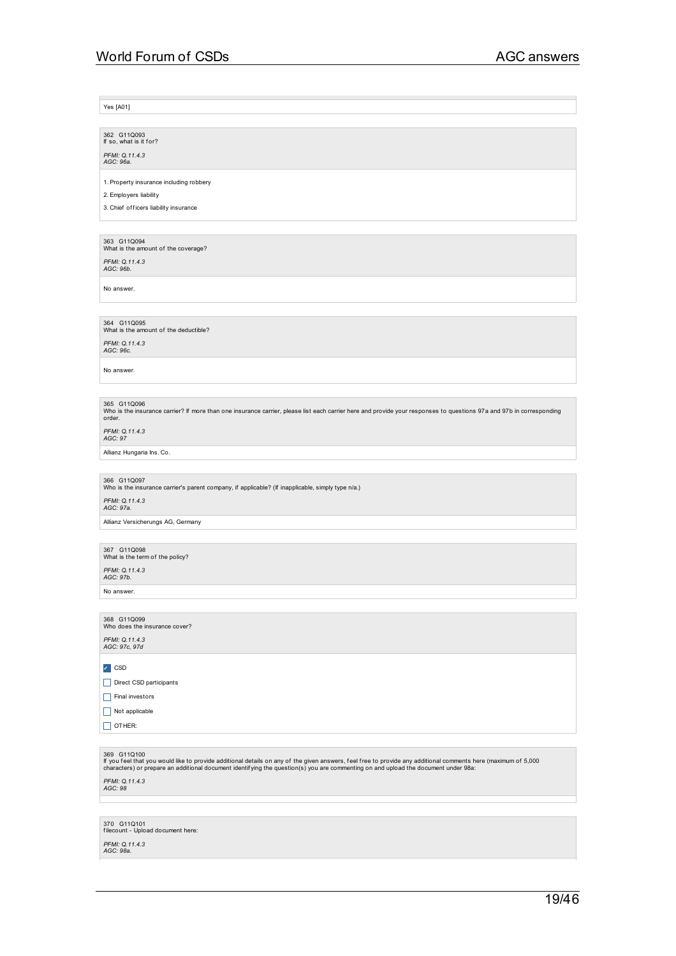Yes [A01]

362 G11Q093<br>If so, what is it for? *PFMI: Q.11.4.3 AGC: 96a.*

1. Property insurance including robbery

2. Employers liability

3. Chief of ficers liability insurance

363 G11Q094<br>What is the amount of the coverage?

*PFMI: Q.11.4.3 AGC: 96b.*

No answer.

364 G11Q095<br>What is the amount of the deductible?

*PFMI: Q.11.4.3 AGC: 96c.*

No answer.

365 G11Q096<br>Who is the insurance carrier? If more than one insurance carrier, please list each carrier here and provide your responses to questions 97a and 97b in corresponding<br>order.

*PFMI: Q.11.4.3 AGC: 97*

Allianz Hungaria Ins. Co.

366 G11Q097<br>Who is the insurance carrier's parent company, if applicable? (If inapplicable, simply type n/a.)

*PFMI: Q.11.4.3 AGC: 97a.* Allianz Versicherungs AG, Germany

367 G11Q098<br>What is the term of the policy?

*PFMI: Q.11.4.3 AGC: 97b.*

No answer.

368 G11Q099<br>Who does the insurance cover? *PFMI: Q.11.4.3 AGC: 97c, 97d*

✔ CSD

Direct CSD participants

 $\Box$  Final investors

 $\boxed{\Box}$  Not applicable

 $\Box$  OTHER:

369 G11Q100<br>If you feel that you would like to provide additional details on any of the given answers, feel free to provide any additional comments here (maximum of 5,000 <br>characters) or prepare an additional document

*PFMI: Q.11.4.3 AGC: 98*

370 G11Q101 f ilecount - Upload document here:

*PFMI: Q.11.4.3 AGC: 98a.*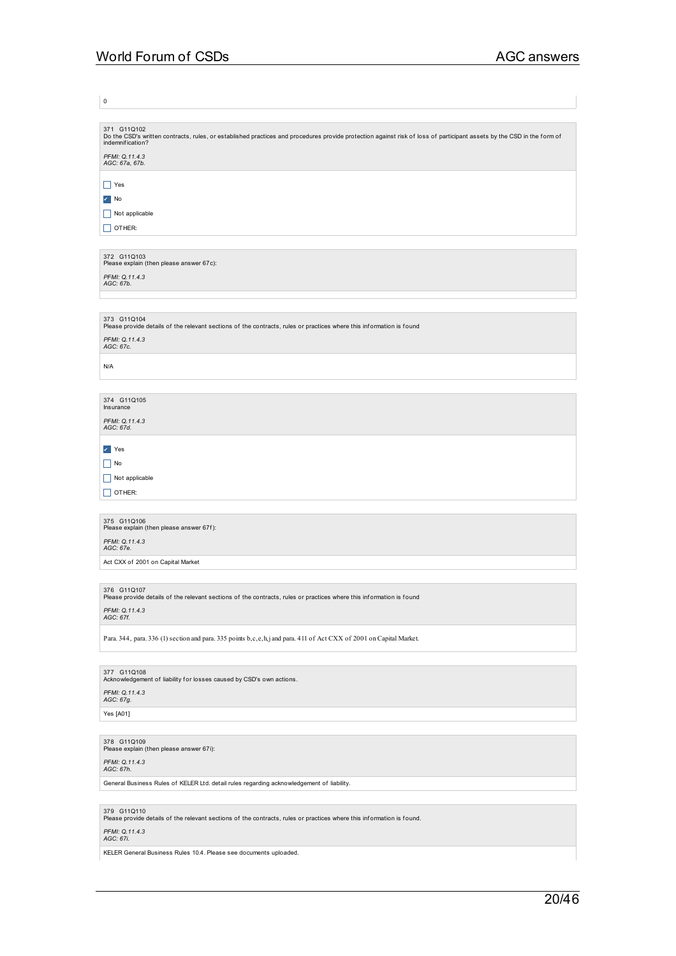$\vert$  0

371 G11Q102<br>Do the CSD's written contracts, rules, or established practices and procedures provide protection against risk of loss of participant assets by the CSD in the form of<br>indemnification? *PFMI: Q.11.4.3 AGC: 67a, 67b.* \_ Yes ✔ No  $\Box$  Not applicable  $\Box$  OTHER: 372 G11Q103<br>Please explain (then please answer 67c): *PFMI: Q.11.4.3 AGC: 67b.* 373 G11Q104<br>Please provide details of the relevant sections of the contracts, rules or practices where this information is found *PFMI: Q.11.4.3 AGC: 67c.* N/A 374 G11Q105 Insurance *PFMI: Q.11.4.3 AGC: 67d.* ✔ Yes  $\Box$  No  $\Box$  Not applicable  $\Box$  OTHER: 375 G11Q106<br>Please explain (then please answer 67f): *PFMI: Q.11.4.3 AGC: 67e.* Act CXX of 2001 on Capital Market 376 G11Q107<br>Please provide details of the relevant sections of the contracts, rules or practices where this information is found *PFMI: Q.11.4.3 AGC: 67f.* Para. 344, para. 336 (1) section and para. 335 points b,c,e,h,j and para. 411 of Act CXX of 2001 on Capital Market. 377  $\,$  G11Q108<br>Acknowledgement of liability for losses caused by CSD's own actions. *PFMI: Q.11.4.3 AGC: 67g.* Yes [A01] 378 G11Q109<br>Please explain (then please answer 67i): *PFMI: Q.11.4.3 AGC: 67h.* General Business Rules of KELER Ltd. detail rules regarding acknowledgement of liability. 379 G11Q110<br>Please provide details of the relevant sections of the contracts, rules or practices where this information is found.

*PFMI: Q.11.4.3 AGC: 67i.*

KELER General Business Rules 10.4. Please see documents uploaded.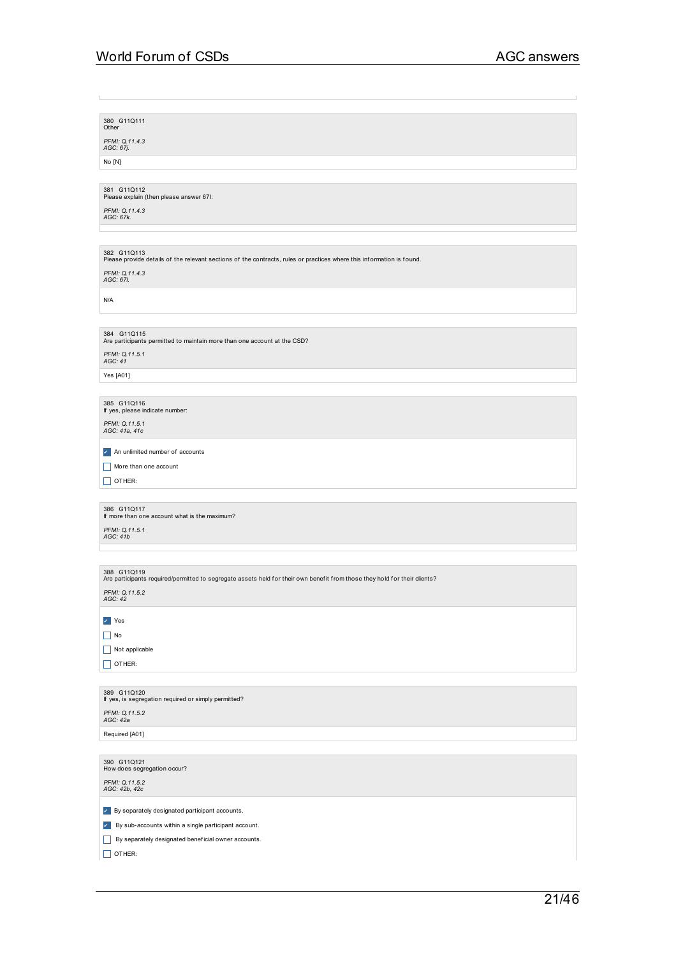| 380 G11Q111<br>Other<br>PFMI: Q.11.4.3<br>AGC: 67j.<br>No [N]<br>381 G11Q112<br>Please explain (then please answer 67I:<br>PFMI: Q.11.4.3<br>AGC: 67k.<br>382 G11Q113<br>Please provide details of the relevant sections of the contracts, rules or practices where this information is found.<br>PFMI: Q.11.4.3<br>AGC: 67I.<br>N/A<br>384 G11Q115<br>Are participants permitted to maintain more than one account at the CSD?<br>PFMI: Q.11.5.1<br>AGC: 41<br>Yes [A01]<br>385 G11Q116<br>If yes, please indicate number:<br>PFMI: Q.11.5.1<br>AGC: 41a, 41c<br>An unlimited number of accounts<br>More than one account<br>OTHER:<br>Н<br>386 G11Q117<br>If more than one account what is the maximum?<br>PFMI: Q.11.5.1<br>AGC: 41b<br>388 G11Q119<br>Are participants required/permitted to segregate assets held for their own benefit from those they hold for their clients?<br>PFMI: Q.11.5.2<br>AGC: 42<br>$\mathsf{v}$ Yes<br>$\Box$ No<br>Not applicable<br>OTHER:<br>389 G11Q120<br>If yes, is segregation required or simply permitted?<br>PFMI: Q.11.5.2<br>AGC: 42a<br>Required [A01]<br>390 G11Q121<br>How does segregation occur?<br>PFMI: Q.11.5.2<br>AGC: 42b, 42c |                                                                 |
|----------------------------------------------------------------------------------------------------------------------------------------------------------------------------------------------------------------------------------------------------------------------------------------------------------------------------------------------------------------------------------------------------------------------------------------------------------------------------------------------------------------------------------------------------------------------------------------------------------------------------------------------------------------------------------------------------------------------------------------------------------------------------------------------------------------------------------------------------------------------------------------------------------------------------------------------------------------------------------------------------------------------------------------------------------------------------------------------------------------------------------------------------------------------------------------|-----------------------------------------------------------------|
|                                                                                                                                                                                                                                                                                                                                                                                                                                                                                                                                                                                                                                                                                                                                                                                                                                                                                                                                                                                                                                                                                                                                                                                        |                                                                 |
|                                                                                                                                                                                                                                                                                                                                                                                                                                                                                                                                                                                                                                                                                                                                                                                                                                                                                                                                                                                                                                                                                                                                                                                        |                                                                 |
|                                                                                                                                                                                                                                                                                                                                                                                                                                                                                                                                                                                                                                                                                                                                                                                                                                                                                                                                                                                                                                                                                                                                                                                        |                                                                 |
|                                                                                                                                                                                                                                                                                                                                                                                                                                                                                                                                                                                                                                                                                                                                                                                                                                                                                                                                                                                                                                                                                                                                                                                        |                                                                 |
|                                                                                                                                                                                                                                                                                                                                                                                                                                                                                                                                                                                                                                                                                                                                                                                                                                                                                                                                                                                                                                                                                                                                                                                        |                                                                 |
|                                                                                                                                                                                                                                                                                                                                                                                                                                                                                                                                                                                                                                                                                                                                                                                                                                                                                                                                                                                                                                                                                                                                                                                        |                                                                 |
|                                                                                                                                                                                                                                                                                                                                                                                                                                                                                                                                                                                                                                                                                                                                                                                                                                                                                                                                                                                                                                                                                                                                                                                        |                                                                 |
|                                                                                                                                                                                                                                                                                                                                                                                                                                                                                                                                                                                                                                                                                                                                                                                                                                                                                                                                                                                                                                                                                                                                                                                        |                                                                 |
|                                                                                                                                                                                                                                                                                                                                                                                                                                                                                                                                                                                                                                                                                                                                                                                                                                                                                                                                                                                                                                                                                                                                                                                        |                                                                 |
|                                                                                                                                                                                                                                                                                                                                                                                                                                                                                                                                                                                                                                                                                                                                                                                                                                                                                                                                                                                                                                                                                                                                                                                        |                                                                 |
|                                                                                                                                                                                                                                                                                                                                                                                                                                                                                                                                                                                                                                                                                                                                                                                                                                                                                                                                                                                                                                                                                                                                                                                        |                                                                 |
|                                                                                                                                                                                                                                                                                                                                                                                                                                                                                                                                                                                                                                                                                                                                                                                                                                                                                                                                                                                                                                                                                                                                                                                        |                                                                 |
|                                                                                                                                                                                                                                                                                                                                                                                                                                                                                                                                                                                                                                                                                                                                                                                                                                                                                                                                                                                                                                                                                                                                                                                        |                                                                 |
|                                                                                                                                                                                                                                                                                                                                                                                                                                                                                                                                                                                                                                                                                                                                                                                                                                                                                                                                                                                                                                                                                                                                                                                        |                                                                 |
|                                                                                                                                                                                                                                                                                                                                                                                                                                                                                                                                                                                                                                                                                                                                                                                                                                                                                                                                                                                                                                                                                                                                                                                        |                                                                 |
|                                                                                                                                                                                                                                                                                                                                                                                                                                                                                                                                                                                                                                                                                                                                                                                                                                                                                                                                                                                                                                                                                                                                                                                        |                                                                 |
|                                                                                                                                                                                                                                                                                                                                                                                                                                                                                                                                                                                                                                                                                                                                                                                                                                                                                                                                                                                                                                                                                                                                                                                        |                                                                 |
|                                                                                                                                                                                                                                                                                                                                                                                                                                                                                                                                                                                                                                                                                                                                                                                                                                                                                                                                                                                                                                                                                                                                                                                        |                                                                 |
|                                                                                                                                                                                                                                                                                                                                                                                                                                                                                                                                                                                                                                                                                                                                                                                                                                                                                                                                                                                                                                                                                                                                                                                        |                                                                 |
|                                                                                                                                                                                                                                                                                                                                                                                                                                                                                                                                                                                                                                                                                                                                                                                                                                                                                                                                                                                                                                                                                                                                                                                        |                                                                 |
|                                                                                                                                                                                                                                                                                                                                                                                                                                                                                                                                                                                                                                                                                                                                                                                                                                                                                                                                                                                                                                                                                                                                                                                        |                                                                 |
|                                                                                                                                                                                                                                                                                                                                                                                                                                                                                                                                                                                                                                                                                                                                                                                                                                                                                                                                                                                                                                                                                                                                                                                        |                                                                 |
|                                                                                                                                                                                                                                                                                                                                                                                                                                                                                                                                                                                                                                                                                                                                                                                                                                                                                                                                                                                                                                                                                                                                                                                        |                                                                 |
|                                                                                                                                                                                                                                                                                                                                                                                                                                                                                                                                                                                                                                                                                                                                                                                                                                                                                                                                                                                                                                                                                                                                                                                        |                                                                 |
|                                                                                                                                                                                                                                                                                                                                                                                                                                                                                                                                                                                                                                                                                                                                                                                                                                                                                                                                                                                                                                                                                                                                                                                        |                                                                 |
|                                                                                                                                                                                                                                                                                                                                                                                                                                                                                                                                                                                                                                                                                                                                                                                                                                                                                                                                                                                                                                                                                                                                                                                        |                                                                 |
|                                                                                                                                                                                                                                                                                                                                                                                                                                                                                                                                                                                                                                                                                                                                                                                                                                                                                                                                                                                                                                                                                                                                                                                        |                                                                 |
|                                                                                                                                                                                                                                                                                                                                                                                                                                                                                                                                                                                                                                                                                                                                                                                                                                                                                                                                                                                                                                                                                                                                                                                        |                                                                 |
|                                                                                                                                                                                                                                                                                                                                                                                                                                                                                                                                                                                                                                                                                                                                                                                                                                                                                                                                                                                                                                                                                                                                                                                        |                                                                 |
|                                                                                                                                                                                                                                                                                                                                                                                                                                                                                                                                                                                                                                                                                                                                                                                                                                                                                                                                                                                                                                                                                                                                                                                        |                                                                 |
|                                                                                                                                                                                                                                                                                                                                                                                                                                                                                                                                                                                                                                                                                                                                                                                                                                                                                                                                                                                                                                                                                                                                                                                        |                                                                 |
|                                                                                                                                                                                                                                                                                                                                                                                                                                                                                                                                                                                                                                                                                                                                                                                                                                                                                                                                                                                                                                                                                                                                                                                        |                                                                 |
|                                                                                                                                                                                                                                                                                                                                                                                                                                                                                                                                                                                                                                                                                                                                                                                                                                                                                                                                                                                                                                                                                                                                                                                        |                                                                 |
|                                                                                                                                                                                                                                                                                                                                                                                                                                                                                                                                                                                                                                                                                                                                                                                                                                                                                                                                                                                                                                                                                                                                                                                        |                                                                 |
|                                                                                                                                                                                                                                                                                                                                                                                                                                                                                                                                                                                                                                                                                                                                                                                                                                                                                                                                                                                                                                                                                                                                                                                        |                                                                 |
|                                                                                                                                                                                                                                                                                                                                                                                                                                                                                                                                                                                                                                                                                                                                                                                                                                                                                                                                                                                                                                                                                                                                                                                        |                                                                 |
|                                                                                                                                                                                                                                                                                                                                                                                                                                                                                                                                                                                                                                                                                                                                                                                                                                                                                                                                                                                                                                                                                                                                                                                        |                                                                 |
|                                                                                                                                                                                                                                                                                                                                                                                                                                                                                                                                                                                                                                                                                                                                                                                                                                                                                                                                                                                                                                                                                                                                                                                        |                                                                 |
|                                                                                                                                                                                                                                                                                                                                                                                                                                                                                                                                                                                                                                                                                                                                                                                                                                                                                                                                                                                                                                                                                                                                                                                        |                                                                 |
|                                                                                                                                                                                                                                                                                                                                                                                                                                                                                                                                                                                                                                                                                                                                                                                                                                                                                                                                                                                                                                                                                                                                                                                        |                                                                 |
|                                                                                                                                                                                                                                                                                                                                                                                                                                                                                                                                                                                                                                                                                                                                                                                                                                                                                                                                                                                                                                                                                                                                                                                        |                                                                 |
|                                                                                                                                                                                                                                                                                                                                                                                                                                                                                                                                                                                                                                                                                                                                                                                                                                                                                                                                                                                                                                                                                                                                                                                        |                                                                 |
|                                                                                                                                                                                                                                                                                                                                                                                                                                                                                                                                                                                                                                                                                                                                                                                                                                                                                                                                                                                                                                                                                                                                                                                        |                                                                 |
|                                                                                                                                                                                                                                                                                                                                                                                                                                                                                                                                                                                                                                                                                                                                                                                                                                                                                                                                                                                                                                                                                                                                                                                        |                                                                 |
|                                                                                                                                                                                                                                                                                                                                                                                                                                                                                                                                                                                                                                                                                                                                                                                                                                                                                                                                                                                                                                                                                                                                                                                        |                                                                 |
|                                                                                                                                                                                                                                                                                                                                                                                                                                                                                                                                                                                                                                                                                                                                                                                                                                                                                                                                                                                                                                                                                                                                                                                        |                                                                 |
|                                                                                                                                                                                                                                                                                                                                                                                                                                                                                                                                                                                                                                                                                                                                                                                                                                                                                                                                                                                                                                                                                                                                                                                        |                                                                 |
|                                                                                                                                                                                                                                                                                                                                                                                                                                                                                                                                                                                                                                                                                                                                                                                                                                                                                                                                                                                                                                                                                                                                                                                        |                                                                 |
|                                                                                                                                                                                                                                                                                                                                                                                                                                                                                                                                                                                                                                                                                                                                                                                                                                                                                                                                                                                                                                                                                                                                                                                        |                                                                 |
|                                                                                                                                                                                                                                                                                                                                                                                                                                                                                                                                                                                                                                                                                                                                                                                                                                                                                                                                                                                                                                                                                                                                                                                        |                                                                 |
|                                                                                                                                                                                                                                                                                                                                                                                                                                                                                                                                                                                                                                                                                                                                                                                                                                                                                                                                                                                                                                                                                                                                                                                        |                                                                 |
|                                                                                                                                                                                                                                                                                                                                                                                                                                                                                                                                                                                                                                                                                                                                                                                                                                                                                                                                                                                                                                                                                                                                                                                        | $\triangleright$ By separately designated participant accounts. |

|  | By separately designated beneficial owner accounts. |  |
|--|-----------------------------------------------------|--|
|--|-----------------------------------------------------|--|

 $\Box$  OTHER: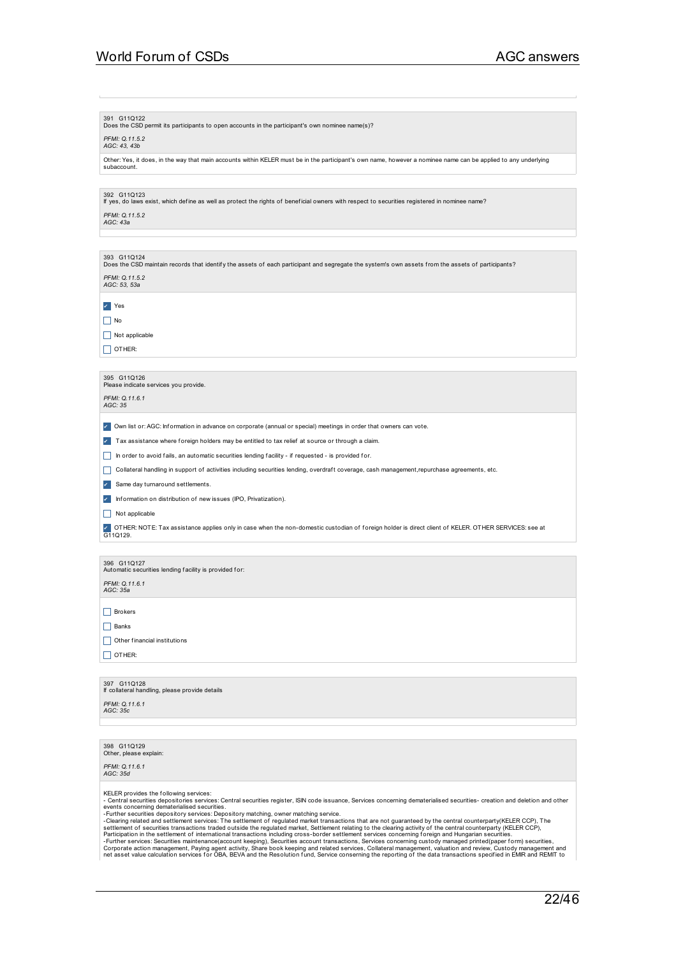### 391 G11Q122

Does the CSD permit its participants to open accounts in the participant's own nominee name(s)?

### *PFMI: Q.11.5.2 AGC: 43, 43b*

Other: Yes, it does, in the way that main accounts within KELER must be in the participant's own name, however a nominee name can be applied to any underlying subaccount.

### 392 G11Q123

If yes, do laws exist, which def ine as well as protect the rights of benef icial owners with respect to securities registered in nominee name?

### *PFMI: Q.11.5.2 AGC: 43a*

393 G11Q124<br>Does the CSD maintain records that identify the assets of each participant and segregate the system's own assets from the assets of participants? *PFMI: Q.11.5.2 AGC: 53, 53a* ✔ Yes  $\Box$  No

 $\Box$  Not applicable  $\Box$  OTHER:

## 395 G11Q126<br>Please indicate services you provide.

*PFMI: Q.11.6.1 AGC: 35*

✔ Own list or: AGC: Inf ormation in advance on corporate (annual or special) meetings in order that owners can vote.

✔ Tax assistance where f oreign holders may be entitled to tax relief at source or through a claim.

In order to avoid fails, an automatic securities lending facility - if requested - is provided for.

\_ Collateral handling in support of activities including securities lending, overdraf t coverage, cash management,repurchase agreements, etc.

✔ Same day turnaround settlements.

✔ Inf ormation on distribution of new issues (IPO, Privatization).

 $\Box$  Not applicable

✔ OTHER: NOTE: Tax assistance applies only in case when the non-domestic custodian of foreign holder is direct client of KELER. OTHER SERVICES: see at<br>G11Q129.

## 396 G11Q127<br>Automatic securities lending facility is provided for:

*PFMI: Q.11.6.1 AGC: 35a*

 $\Box$  Brokers

 $\Box$  Banks

 $\Box$  Other financial institutions

 $\Box$  OTHER:

## 397 G11Q128 If collateral handling, please provide details

*PFMI: Q.11.6.1 AGC: 35c*

398 G11Q129<br>Other, please explain:

*PFMI: Q.11.6.1 AGC: 35d*

KELER provides the following services:

ռс. Հուս աստան ուս աստար չասաշ».<br>- Central securities depositories services: Central securities register, ISIN code issuance, Services concerning dematerialised securities- creation and deletion and other

events concerning dematerialised securities.<br>- Further securities depository services: Depository matching, owner matching service.<br>- Clearing related and settlement services: Depository matching, owner matching service.<br>-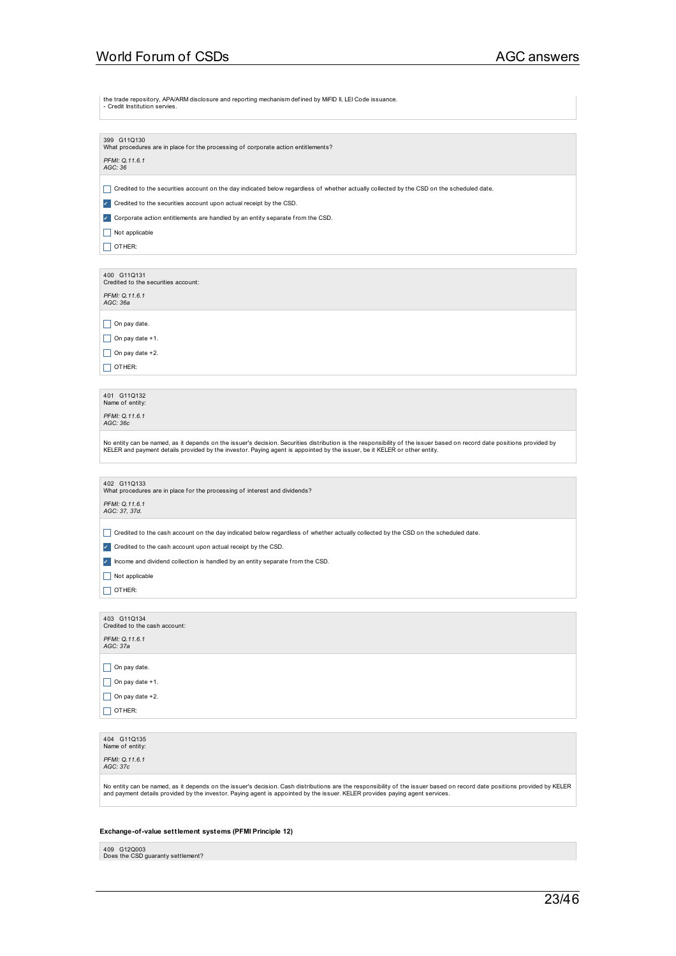the trade repository, APA/ARM disclosure and reporting mechanism def ined by MiFID II, LEI Code issuance.

| $\frac{1}{2}$<br>was discussed to the reporting mediamonical media by iviliablity.<br>- Credit Institution servies.                                                                                                                                                                                                                                     |
|---------------------------------------------------------------------------------------------------------------------------------------------------------------------------------------------------------------------------------------------------------------------------------------------------------------------------------------------------------|
| 399 G11Q130<br>What procedures are in place for the processing of corporate action entitlements?<br>PFMI: Q.11.6.1<br>AGC: 36                                                                                                                                                                                                                           |
| H<br>Credited to the securities account on the day indicated below regardless of whether actually collected by the CSD on the scheduled date.<br>Credited to the securities account upon actual receipt by the CSD.<br>$\checkmark$<br>Corporate action entitlements are handled by an entity separate from the CSD.<br>Not applicable<br>OTHER:<br>- 1 |
| 400 G11Q131<br>Credited to the securities account:<br>PFMI: Q.11.6.1<br>AGC: 36a                                                                                                                                                                                                                                                                        |
| $\vert$ On pay date.<br>On pay date +1.<br>$\mathsf{L}$<br>On pay date +2.<br>H<br>  OTHER:                                                                                                                                                                                                                                                             |
| 401 G11Q132<br>Name of entity:<br>PFMI: Q.11.6.1<br>AGC: 36c                                                                                                                                                                                                                                                                                            |
| No entity can be named, as it depends on the issuer's decision. Securities distribution is the responsibility of the issuer based on record date positions provided by<br>KELER and payment details provided by the investor. Paying agent is appointed by the issuer, be it KELER or other entity.                                                     |
| 402 G11Q133<br>What procedures are in place for the processing of interest and dividends?<br>PFMI: Q.11.6.1<br>AGC: 37, 37d.                                                                                                                                                                                                                            |
| Credited to the cash account on the day indicated below regardless of whether actually collected by the CSD on the scheduled date.<br>H<br>Credited to the cash account upon actual receipt by the CSD.<br>$\checkmark$<br>Income and dividend collection is handled by an entity separate from the CSD.<br>Not applicable<br>OTHER:                    |
| 403 G11Q134<br>Credited to the cash account:<br>PFMI: Q.11.6.1<br>AGC: 37a                                                                                                                                                                                                                                                                              |
| $\vert$ On pay date.<br>$\vert$ On pay date +1.<br>On pay date $+2$ .<br>OTHER:                                                                                                                                                                                                                                                                         |
| 404 G11Q135<br>Name of entity:<br>PFMI: Q.11.6.1<br>AGC: 37c                                                                                                                                                                                                                                                                                            |
| No entity can be named, as it depends on the issuer's decision. Cash distributions are the responsibility of the issuer based on record date positions provided by KELER<br>and payment details provided by the investor. Paying agent is appointed by the issuer. KELER provides paying agent services.                                                |
| Exchange-of-value settlement systems (PFMI Principle 12)                                                                                                                                                                                                                                                                                                |

409 G12Q003<br>Does the CSD guaranty settlement?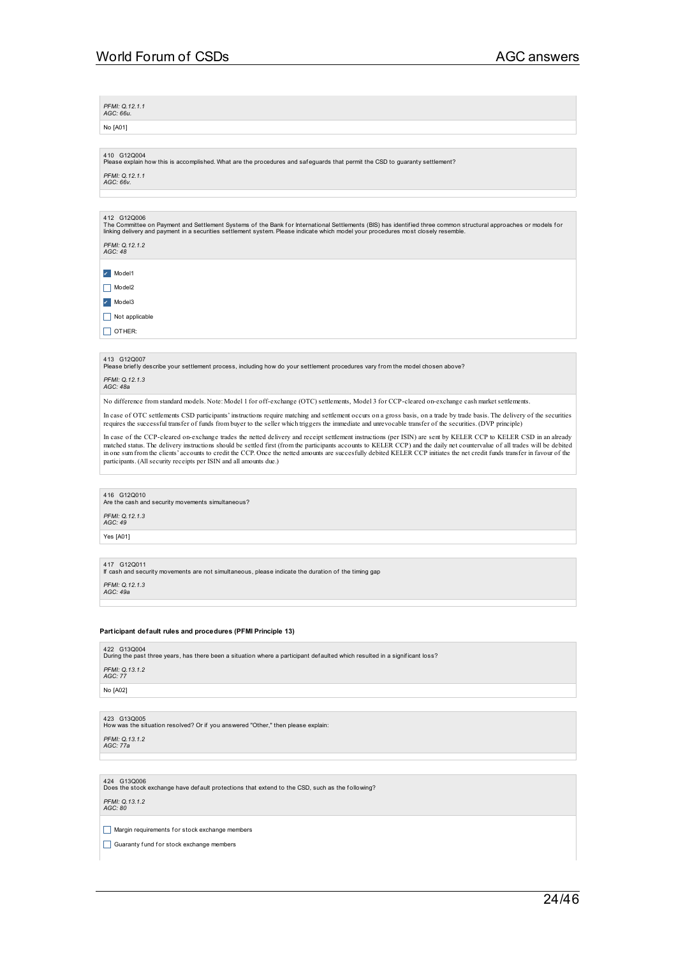*PFMI: Q.12.1.1 AGC: 66u.*

No [A01]

410 G12Q004<br>Please explain how this is accomplished. What are the procedures and safeguards that permit the CSD to guaranty settlement?

*PFMI: Q.12.1.1 AGC: 66v.*

### 412 G12Q006

The Committee on Payment and Settlement Systems of the Bank for International Settlements (BIS) has identified three common structural approaches or models for<br>linking delivery and payment in a securities settlement system

*PFMI: Q.12.1.2 AGC: 48*

✔ Model1  $\Box$  Model2 ✔ Model3

 $\Box$  Not applicable

 $\Box$  OTHER:

413 G12Q007<br>Please briefly describe your settlement process, including how do your settlement procedures vary from the model chosen above?

*PFMI: Q.12.1.3 AGC: 48a*

No difference from standard models. Note: Model 1 for off-exchange (OTC) settlements, Model 3 for CCP-cleared on-exchange cash market settlements.

In case of OTC settlements CSD participants' instructions require matching and settlement occurs on a gross basis, on a trade by trade basis. The delivery of the securities<br>requires the successful transfer of funds from bu

In case of the CCP-cleared on-exchange trades the netted delivery and receipt settlement instructions (per ISIN) are sent by KELER CCP to KELER CSD in an already matched status. The delivery instructions should be settled first (from the participants accounts to KELER CCP) and the daily net countervalue of all trades will be debited in one sum from the clients' accounts to credit t participants. (All security receipts per ISIN and all amounts due.)

416 G12Q010<br>Are the cash and security movements simultaneous?

*PFMI: Q.12.1.3 AGC: 49*

Yes [A01]

417 G12Q011 If cash and security movements are not simultaneous, please indicate the duration of the timing gap

*PFMI: Q.12.1.3 AGC: 49a*

### **Participant default rules and procedures (PFMI Principle 13)**

| 422 G13Q004<br>During the past three years, has there been a situation where a participant defaulted which resulted in a significant loss? |  |
|--------------------------------------------------------------------------------------------------------------------------------------------|--|
| PFMI: Q.13.1.2<br>AGC: 77                                                                                                                  |  |
| No [A02]                                                                                                                                   |  |

423 G13Q005<br>How was the situation resolved? Or if you answered "Other," then please explain:

*PFMI: Q.13.1.2 AGC: 77a*

424 G13Q006<br>Does the stock exchange have default protections that extend to the CSD, such as the following?

### *PFMI: Q.13.1.2 AGC: 80*

 $\Box$  Margin requirements for stock exchange members

Guaranty fund for stock exchange members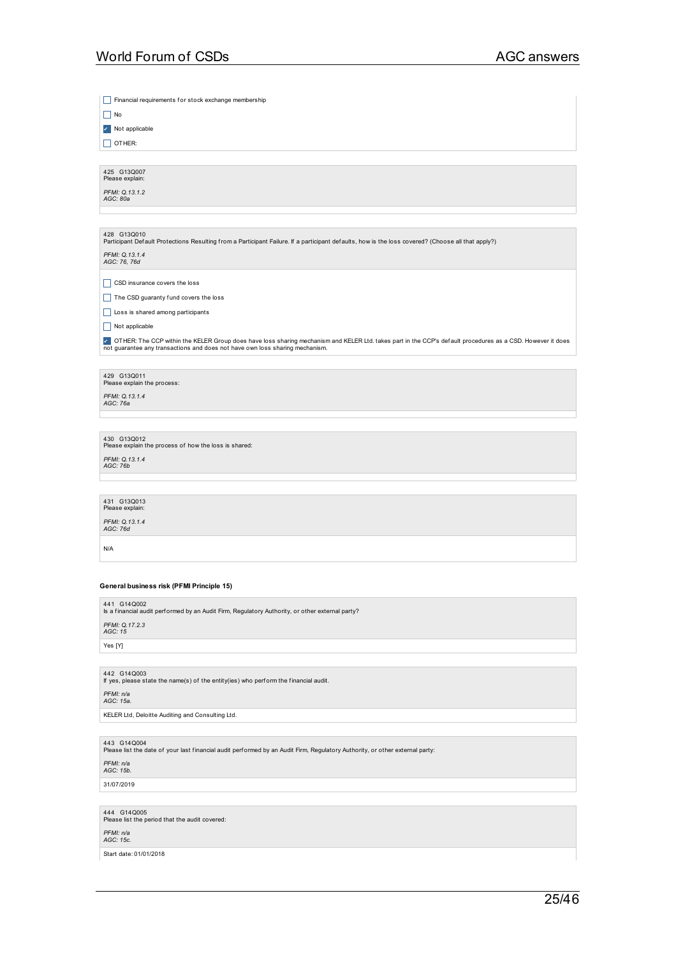Financial requirements for stock exchange membership  $\Box$  No ✔ Not applicable  $\Box$  OTHER: 425 G13Q007<br>Please explain: *PFMI: Q.13.1.2 AGC: 80a* 428 G13Q010<br>Participant Default Protections Resulting from a Participant Failure. If a participant defaults, how is the loss covered? (Choose all that apply?) *PFMI: Q.13.1.4 AGC: 76, 76d*  $\Box$  CSD insurance covers the loss  $\Box$  The CSD guaranty fund covers the loss Loss is shared among participants  $\boxed{\Box}$  Not applicable ✔ OTHER: The CCP within the KELER Group does have loss sharing mechanism and KELER Ltd. takes part in the CCP's def ault procedures as a CSD. However it does not guarantee any transactions and does not have own loss sharing mechanism. 429 G13Q011<br>Please explain the process: *PFMI: Q.13.1.4 AGC: 76a* 430 G13Q012<br>Please explain the process of how the loss is shared: *PFMI: Q.13.1.4 AGC: 76b* 431 G13Q013 Please expl *PFMI: Q.13.1.4 AGC: 76d* N/A **General business risk (PFMI Principle 15)** 441 G14Q002 Is a f inancial audit perf ormed by an Audit Firm, Regulatory Authority, or other external party? *PFMI: Q.17.2.3 AGC: 15* Yes [Y] 442 G14Q003 If yes, please state the name(s) of the entity(ies) who perf orm the financial audit. *PFMI: n/a AGC: 15a.* KELER Ltd, Deloitte Auditing and Consulting Ltd. 443 G14Q004<br>Please list the date of your last financial audit performed by an Audit Firm, Regulatory Authority, or other external party: *PFMI: n/a AGC: 15b.* 31/07/2019 444 G14Q005<br>Please list the period that the audit covered:

*PFMI: n/a AGC: 15c.*

Start date: 01/01/2018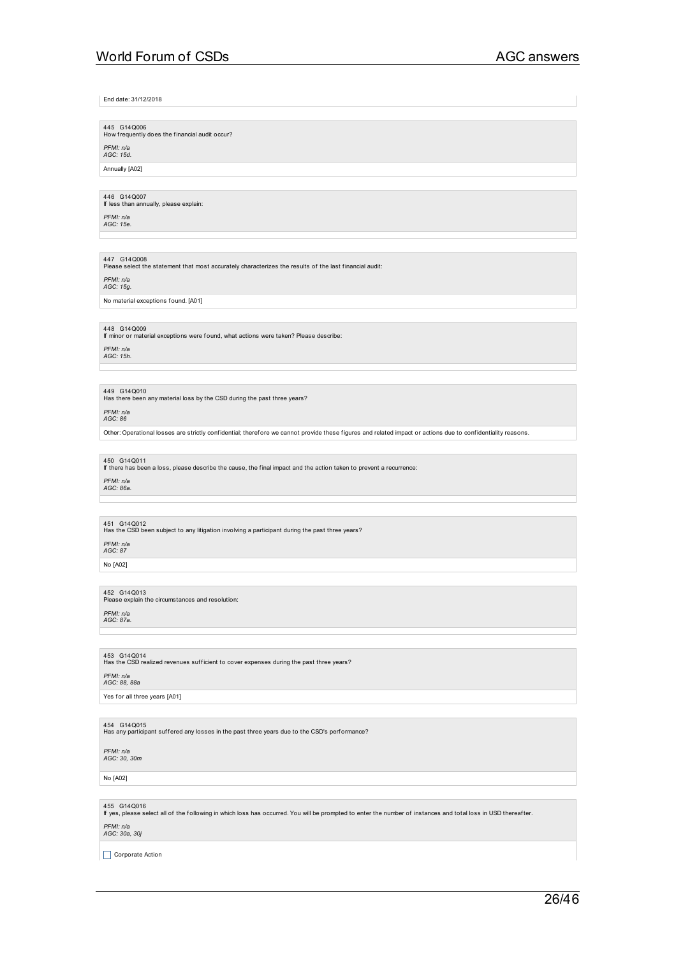End date: 31/12/2018

## 445 G14Q006<br>How frequently does the financial audit occur?

*PFMI: n/a AGC: 15d.*

Annually [A02]

446 G14Q007 If less than annually, please explain:

*PFMI: n/a AGC: 15e.*

447 G14Q008<br>Please select the statement that most accurately characterizes the results of the last financial audit:

*PFMI: n/a AGC: 15g.*

No material exceptions found. [A01]

## 448 G14Q009 If minor or material exceptions were found, what actions were taken? Please describe:

*PFMI: n/a AGC: 15h.*

449 G14Q010<br>Has there been any material loss by the CSD during the past three years?

*PFMI: n/a AGC: 86*

Other: Operational losses are strictly conf idential; theref ore we cannot provide these figures and related impact or actions due to conf identiality reasons.

450 G14Q011 If there has been a loss, please describe the cause, the final impact and the action taken to prevent a recurrence:

*PFMI: n/a AGC: 86a.*

451 G14Q012<br>Has the CSD been subject to any litigation involving a participant during the past three years?

*PFMI: n/a AGC: 87*

No [A02]

452 G14Q013<br>Please explain the circumstances and resolution: *PFMI: n/a AGC: 87a.*

453 G14Q014<br>Has the CSD realized revenues sufficient to cover expenses during the past three years? *PFMI: n/a AGC: 88, 88a*

Yes for all three years [A01]

454 G14Q015<br>Has any participant suffered any losses in the past three years due to the CSD's perf ormance?

### *PFMI: n/a AGC: 30, 30m*

## No [A02]

455 G14Q016 If yes, please select all of the following in which loss has occurred. You will be prompted to enter the number of instances and total loss in USD thereaf ter.

## *PFMI: n/a AGC: 30a, 30j*

 $\Box$  Corporate Action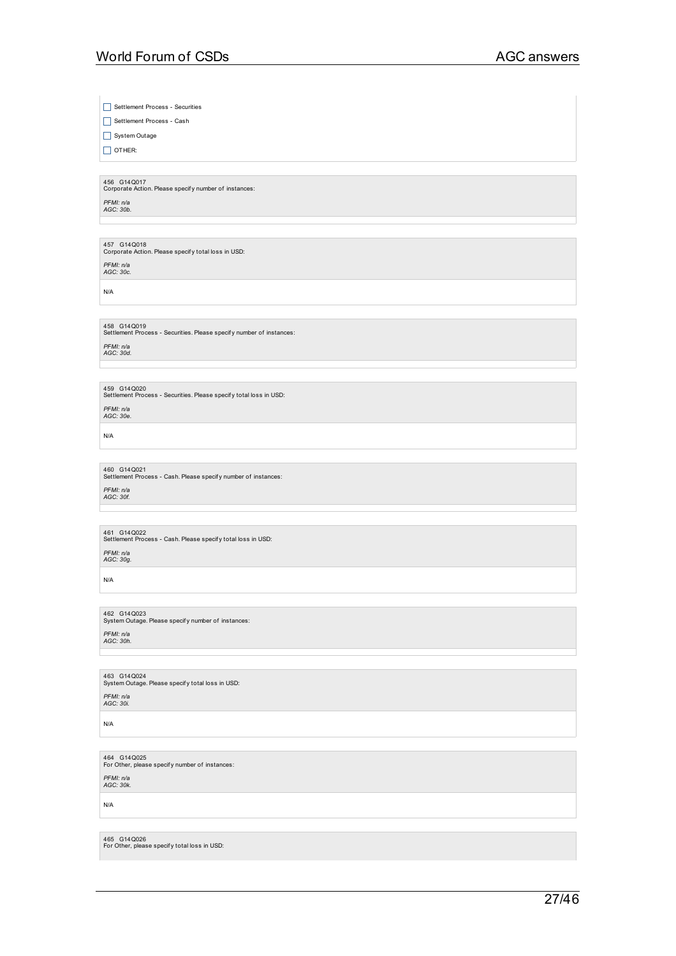Settlement Process - Securities

Settlement Process - Cash

 $\boxed{\Box}$  System Outage

 $\Box$  OTHER:

456 G14Q017<br>Corporate Action. Please specify number of instances: *PFMI: n/a AGC: 30b.*

457 G14Q018<br>Corporate Action. Please specify total loss in USD:

*PFMI: n/a AGC: 30c.*

N/A

458 G14Q019<br>Settlement Process - Securities. Please specify number of instances:

*PFMI: n/a AGC: 30d.*

459  $\,$  G14Q020<br>Settlement Process - Securities. Please specify total loss in USD: *PFMI: n/a AGC: 30e.*

N/A

460 G14Q021<br>Settlement Process - Cash. Please specify number of instances: *PFMI: n/a AGC: 30f.*

461 G14Q022<br>Settlement Process - Cash. Please specify total loss in USD:

*PFMI: n/a AGC: 30g.*

N/A

462 G14Q023<br>System Outage. Please specify number of instances: *PFMI: n/a AGC: 30h.*

463 G14Q024<br>System Outage. Please specify total loss in USD: *PFMI: n/a AGC: 30i.*

N/A

464 G14Q025<br>For Other, please specify number of instances: *PFMI: n/a AGC: 30k.*

N/A

465 G14Q026<br>For Other, please specify total loss in USD: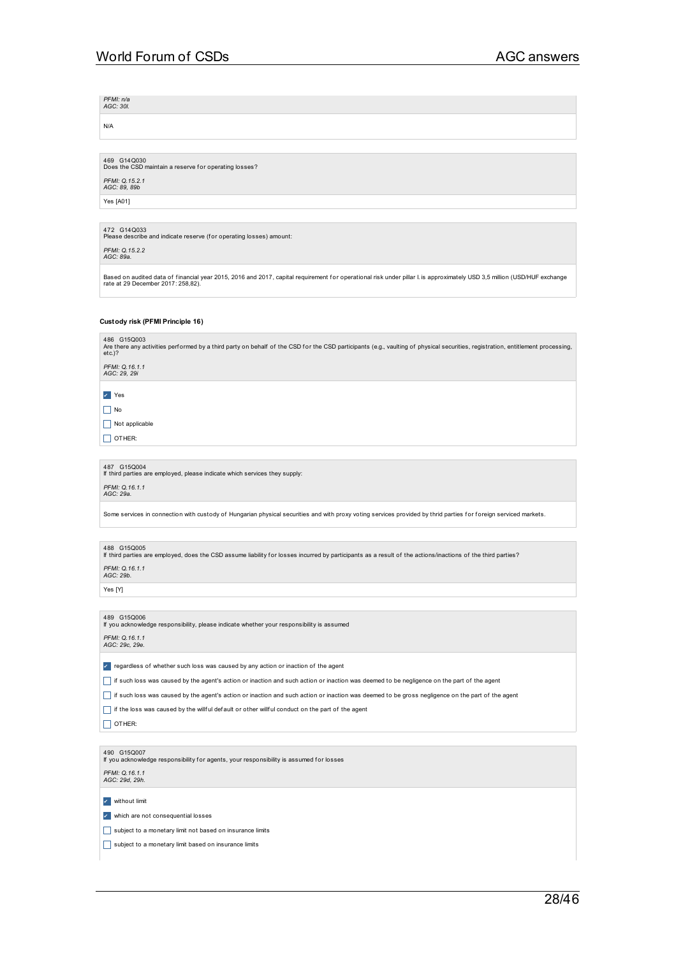*PFMI: n/a AGC: 30l.*

N/A

469 G14Q030<br>Does the CSD maintain a reserve for operating losses? *PFMI: Q.15.2.1 AGC: 89, 89b*

Yes [A01]

472 G14Q033<br>Please describe and indicate reserve (for operating losses) amount:

*PFMI: Q.15.2.2 AGC: 89a.*

Based on audited data of financial year 2015, 2016 and 2017, capital requirement for operational risk under pillar I. is approximately USD 3,5 million (USD/HUF exchange<br>rate at 29 December 2017: 258,82).

### **Custody risk (PFMI Principle 16)**

486 G15Q003<br>Are there any activities performed by a third party on behalf of the CSD for the CSD participants (e.g., vaulting of physical securities, registration, entitlement processing,<br>etc.)?

*PFMI: Q.16.1.1 AGC: 29, 29i*

✔ Yes

 $\Box$  No

 $\Box$  Not applicable

 $\Box$  OTHER:

487 G15Q004 If third parties are employed, please indicate which services they supply:

*PFMI: Q.16.1.1 AGC: 29a.*

Some services in connection with custody of Hungarian physical securities and with proxy voting services provided by thrid parties for foreign serviced markets.

## 488  $\,$  G15Q005<br>If third parties are employed, does the CSD assume liability for losses incurred by participants as a result of the actions/inactions of the third parties?

*PFMI: Q.16.1.1 AGC: 29b.*

Yes [Y]

489 G15Q006 If you acknowledge responsibility, please indicate whether your responsibility is assumed

*PFMI: Q.16.1.1 AGC: 29c, 29e.*

✔ regardless of whether such loss was caused by any action or inaction of the agent

\_ if such loss was caused by the agent's action or inaction and such action or inaction was deemed to be negligence on the part of the agent

\_ if such loss was caused by the agent's action or inaction and such action or inaction was deemed to be gross negligence on the part of the agent

 $\Box$  if the loss was caused by the willful default or other willful conduct on the part of the agent

 $\Box$  OTHER:

490 G15Q007 If you acknowledge responsibility f or agents, your responsibility is assumed for losses

*PFMI: Q.16.1.1 AGC: 29d, 29h.*

✔ without limit

✔ which are not consequential losses

subject to a monetary limit not based on insurance limits

subject to a monetary limit based on insurance limits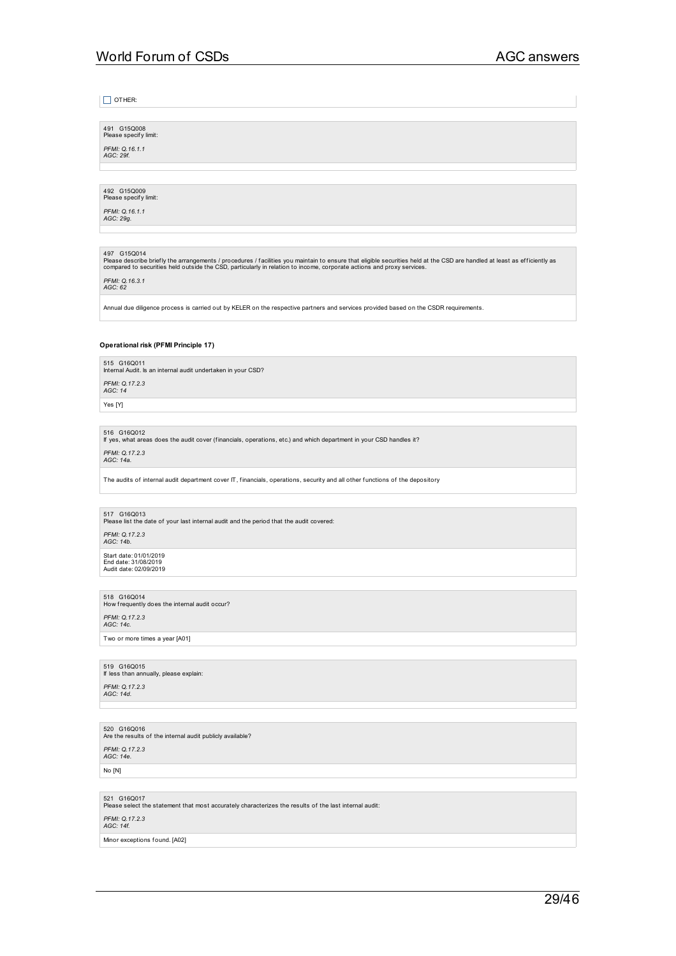| OTHER:                                                                                                                                                                                                                                                                                                                                          |
|-------------------------------------------------------------------------------------------------------------------------------------------------------------------------------------------------------------------------------------------------------------------------------------------------------------------------------------------------|
| 491 G15Q008                                                                                                                                                                                                                                                                                                                                     |
| Please specify limit:<br>PFMI: Q.16.1.1<br>AGC: 29f.                                                                                                                                                                                                                                                                                            |
|                                                                                                                                                                                                                                                                                                                                                 |
| 492 G15Q009<br>Please specify limit:                                                                                                                                                                                                                                                                                                            |
| PFMI: 0.16.1.1<br>AGC: 29g.                                                                                                                                                                                                                                                                                                                     |
|                                                                                                                                                                                                                                                                                                                                                 |
| 497 G15Q014<br>Please describe briefly the arrangements / procedures / facilities you maintain to ensure that eligible securities held at the CSD are handled at least as efficiently as<br>compared to securities held outside the CSD, particularly in relation to income, corporate actions and proxy services.<br>PFMI: Q.16.3.1<br>AGC: 62 |
| Annual due diligence process is carried out by KELER on the respective partners and services provided based on the CSDR requirements.                                                                                                                                                                                                           |
| Operational risk (PFMI Principle 17)                                                                                                                                                                                                                                                                                                            |
| 515 G16Q011                                                                                                                                                                                                                                                                                                                                     |
| Internal Audit. Is an internal audit undertaken in your CSD?<br>PFMI: Q.17.2.3                                                                                                                                                                                                                                                                  |
| AGC: 14<br>Yes [Y]                                                                                                                                                                                                                                                                                                                              |
|                                                                                                                                                                                                                                                                                                                                                 |
| 516 G16Q012<br>If yes, what areas does the audit cover (financials, operations, etc.) and which department in your CSD handles it?                                                                                                                                                                                                              |
| PFMI: Q.17.2.3<br>AGC: 14a.                                                                                                                                                                                                                                                                                                                     |
| The audits of internal audit department cover IT, financials, operations, security and all other functions of the depository                                                                                                                                                                                                                    |
| 517 G16Q013                                                                                                                                                                                                                                                                                                                                     |
| Please list the date of your last internal audit and the period that the audit covered:<br>PFMI: Q.17.2.3                                                                                                                                                                                                                                       |
| AGC: 14b.<br>Start date: 01/01/2019<br>End date: 31/08/2019                                                                                                                                                                                                                                                                                     |
| Audit date: 02/09/2019                                                                                                                                                                                                                                                                                                                          |
| 518 G16Q014<br>How frequently does the internal audit occur?                                                                                                                                                                                                                                                                                    |
| PFMI: Q.17.2.3<br>AGC: 14c.                                                                                                                                                                                                                                                                                                                     |
| Two or more times a year [A01]                                                                                                                                                                                                                                                                                                                  |
|                                                                                                                                                                                                                                                                                                                                                 |
| 519 G16Q015<br>If less than annually, please explain:                                                                                                                                                                                                                                                                                           |
| PFMI: Q.17.2.3<br>AGC: 14d.                                                                                                                                                                                                                                                                                                                     |
|                                                                                                                                                                                                                                                                                                                                                 |
| 520 G16Q016<br>Are the results of the internal audit publicly available?                                                                                                                                                                                                                                                                        |
| PFMI: Q.17.2.3<br>AGC: 14e.                                                                                                                                                                                                                                                                                                                     |
| No [N]                                                                                                                                                                                                                                                                                                                                          |
| 521 G16Q017<br>Please select the statement that most accurately characterizes the results of the last internal audit:                                                                                                                                                                                                                           |
| PFMI: Q.17.2.3<br>AGC: 14f.                                                                                                                                                                                                                                                                                                                     |
| Minor exceptions found. [A02]                                                                                                                                                                                                                                                                                                                   |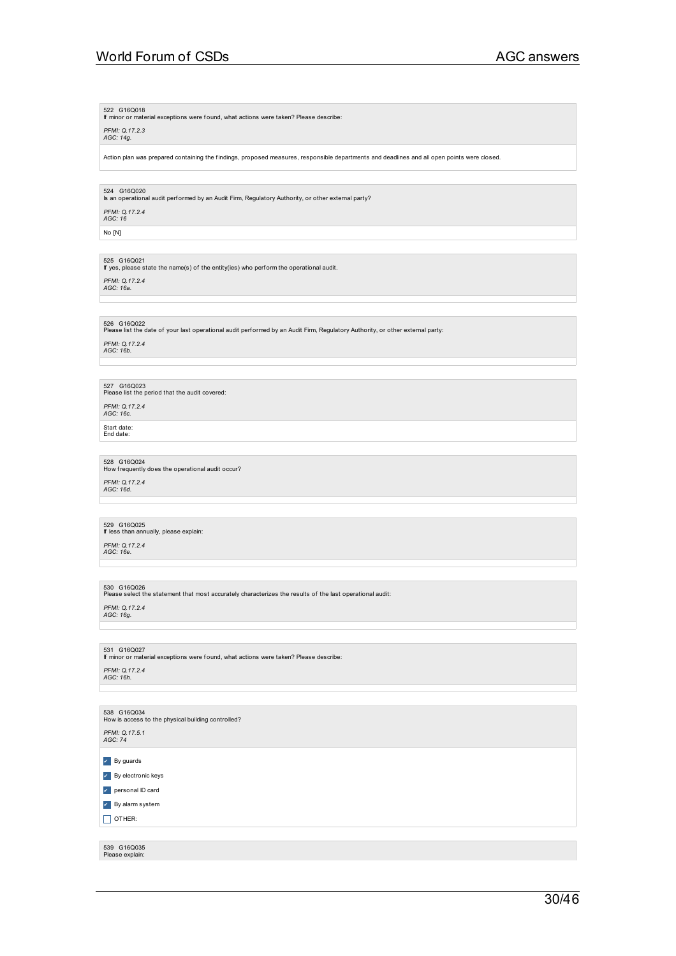522 G16Q018 If minor or material exceptions were found, what actions were taken? Please describe:

*PFMI: Q.17.2.3 AGC: 14g.*

Action plan was prepared containing the findings, proposed measures, responsible departments and deadlines and all open points were closed.

524 G16Q020 Is an operational audit perf ormed by an Audit Firm, Regulatory Authority, or other external party?

*PFMI: Q.17.2.4 AGC: 16*

No [N]

525 G16Q021 If yes, please state the name(s) of the entity(ies) who perf orm the operational audit.

*PFMI: Q.17.2.4 AGC: 16a.*

### 526 G16Q022<br>Please list the date of your last operational audit performed by an Audit Firm, Regulatory Authority, or other external party:

*PFMI: Q.17.2.4 AGC: 16b.*

527 G16Q023<br>Please list the period that the audit covered: *PFMI: Q.17.2.4 AGC: 16c.*

Start date:<br>End date:

528 G16Q024<br>How frequently does the operational audit occur? *PFMI: Q.17.2.4 AGC: 16d.*

529 G16Q025 If less than annually, please explain:

*PFMI: Q.17.2.4 AGC: 16e.*

530 G16Q026<br>Please select the statement that most accurately characterizes the results of the last operational audit:

*PFMI: Q.17.2.4 AGC: 16g.*

531 G16Q027 If minor or material exceptions were found, what actions were taken? Please describe:

*PFMI: Q.17.2.4 AGC: 16h.*

538 G16Q034<br>How is access to the physical building controlled? *PFMI: Q.17.5.1 AGC: 74* ✔ By guards ✔ By electronic keys ✔ personal ID card ✔ By alarm system  $\Box$  OTHER: 539 G16Q035 Please explain:

30/46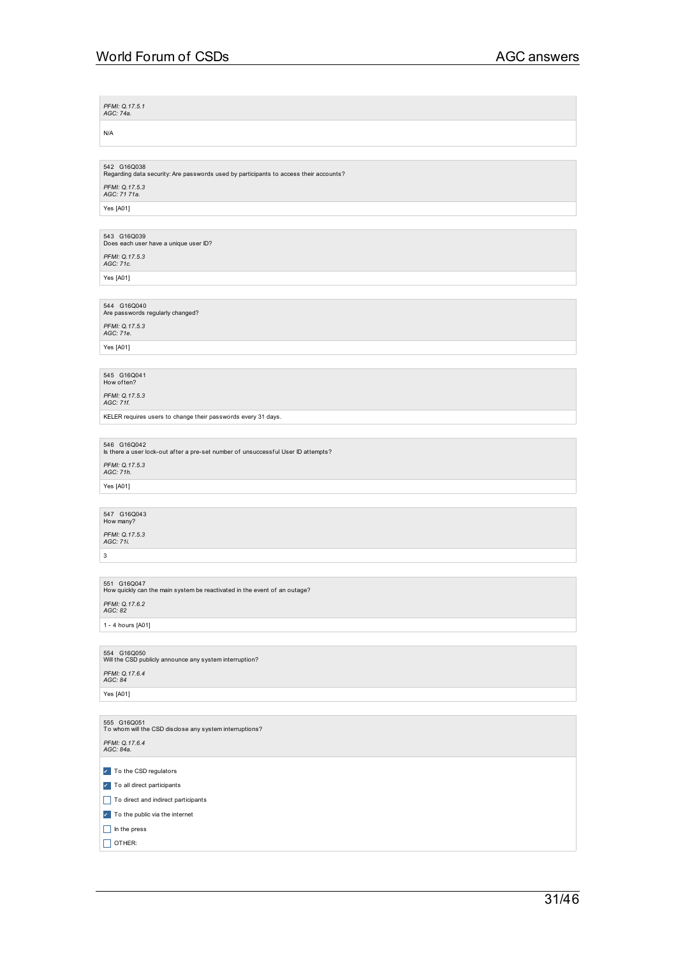*PFMI: Q.17.5.1 AGC: 74a.* N/A 542 G16Q038<br>Regarding data security: Are passwords used by participants to access their accounts? *PFMI: Q.17.5.3 AGC: 71 71a.* Yes [A01] 543 G16Q039<br>Does each user have a unique user ID? *PFMI: Q.17.5.3 AGC: 71c.* Yes [A01] 544 G16Q040<br>Are passwords regularly changed? *PFMI: Q.17.5.3 AGC: 71e.* Yes [A01] 545 G16Q041<br>How often? *PFMI: Q.17.5.3 AGC: 71f.* KELER requires users to change their passwords every 31 days. 546 G16Q042 Is there a user lock-out af ter a pre-set number of unsuccessf ul User ID attempts? *PFMI: Q.17.5.3 AGC: 71h.* Yes [A01] 547 G16Q043 How many? *PFMI: Q.17.5.3 AGC: 71i.* 3 551 G16Q047<br>How quickly can the main system be reactivated in the event of an outage? *PFMI: Q.17.6.2 AGC: 82* 1 - 4 hours [A01] 554 G16Q050<br>Will the CSD publicly announce any system interruption? *PFMI: Q.17.6.4 AGC: 84* Yes [A01] 555 G16Q051<br>To whom will the CSD disclose any system interruptions? *PFMI: Q.17.6.4 AGC: 84a.* **7** To the CSD regulators **7** To all direct participants To direct and indirect participants **7** To the public via the internet

 $\Box$  In the press  $\Box$  OTHER: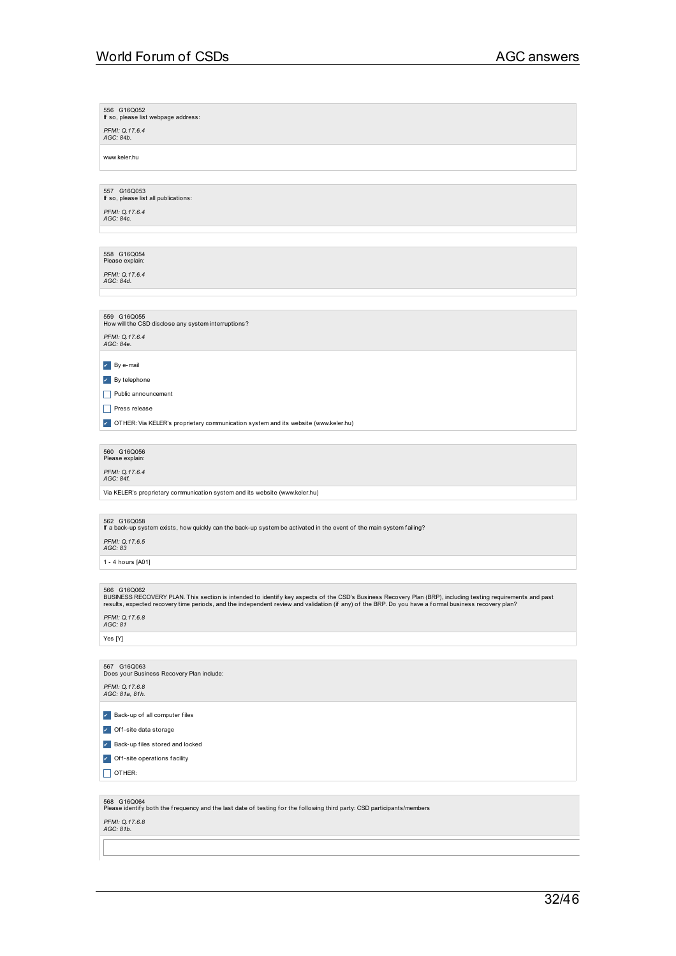| 556 G16Q052<br>If so, please list webpage address:                                                                                                                                                                                                                                                                                 |
|------------------------------------------------------------------------------------------------------------------------------------------------------------------------------------------------------------------------------------------------------------------------------------------------------------------------------------|
| PFMI: Q.17.6.4<br>AGC: 84b.                                                                                                                                                                                                                                                                                                        |
| www.keler.hu                                                                                                                                                                                                                                                                                                                       |
|                                                                                                                                                                                                                                                                                                                                    |
| 557 G16Q053<br>If so, please list all publications:                                                                                                                                                                                                                                                                                |
| PFMI: Q.17.6.4<br>AGC: 84c.                                                                                                                                                                                                                                                                                                        |
|                                                                                                                                                                                                                                                                                                                                    |
|                                                                                                                                                                                                                                                                                                                                    |
| 558 G16Q054<br>Please explain:                                                                                                                                                                                                                                                                                                     |
| PFMI: Q.17.6.4<br>AGC: 84d.                                                                                                                                                                                                                                                                                                        |
|                                                                                                                                                                                                                                                                                                                                    |
| 559 G16Q055                                                                                                                                                                                                                                                                                                                        |
| How will the CSD disclose any system interruptions?<br>PFMI: Q.17.6.4                                                                                                                                                                                                                                                              |
| AGC: 84e.                                                                                                                                                                                                                                                                                                                          |
| By e-mail                                                                                                                                                                                                                                                                                                                          |
| $\mathbf{v}$ By telephone                                                                                                                                                                                                                                                                                                          |
| Public announcement<br>H                                                                                                                                                                                                                                                                                                           |
| <b>Press release</b>                                                                                                                                                                                                                                                                                                               |
| TOTHER: Via KELER's proprietary communication system and its website (www.keler.hu)                                                                                                                                                                                                                                                |
| 560 G16Q056                                                                                                                                                                                                                                                                                                                        |
| Please explain:<br>PFMI: Q.17.6.4                                                                                                                                                                                                                                                                                                  |
| AGC: 84f.<br>Via KELER's proprietary communication system and its website (www.keler.hu)                                                                                                                                                                                                                                           |
|                                                                                                                                                                                                                                                                                                                                    |
| 562 G16Q058                                                                                                                                                                                                                                                                                                                        |
| If a back-up system exists, how quickly can the back-up system be activated in the event of the main system failing?<br>PFMI: Q.17.6.5<br>AGC: 83                                                                                                                                                                                  |
| 1 - 4 hours [A01]                                                                                                                                                                                                                                                                                                                  |
|                                                                                                                                                                                                                                                                                                                                    |
| 566 G16Q062<br>BUSINESS RECOVERY PLAN. This section is intended to identify key aspects of the CSD's Business Recovery Plan (BRP), including testing requirements and past<br>results, expected recovery time periods, and the independent review and validation (if any) of the BRP. Do you have a formal business recovery plan? |
| PFMI: Q.17.6.8<br>AGC: 81                                                                                                                                                                                                                                                                                                          |
| Yes [Y]                                                                                                                                                                                                                                                                                                                            |
|                                                                                                                                                                                                                                                                                                                                    |
| 567 G16Q063<br>Does your Business Recovery Plan include:                                                                                                                                                                                                                                                                           |
| PFMI: Q.17.6.8<br>AGC: 81a, 81h.                                                                                                                                                                                                                                                                                                   |
| Back-up of all computer files                                                                                                                                                                                                                                                                                                      |
| Off-site data storage<br>$\mathcal{L}_{\mathcal{A}}$                                                                                                                                                                                                                                                                               |
| Back-up files stored and locked<br>$\checkmark$                                                                                                                                                                                                                                                                                    |
| $\checkmark$<br>Off-site operations facility                                                                                                                                                                                                                                                                                       |
| OTHER:                                                                                                                                                                                                                                                                                                                             |
|                                                                                                                                                                                                                                                                                                                                    |
| 568 G16Q064<br>Please identify both the frequency and the last date of testing for the following third party: CSD participants/members                                                                                                                                                                                             |
| PFMI: Q.17.6.8<br>AGC: 81b.                                                                                                                                                                                                                                                                                                        |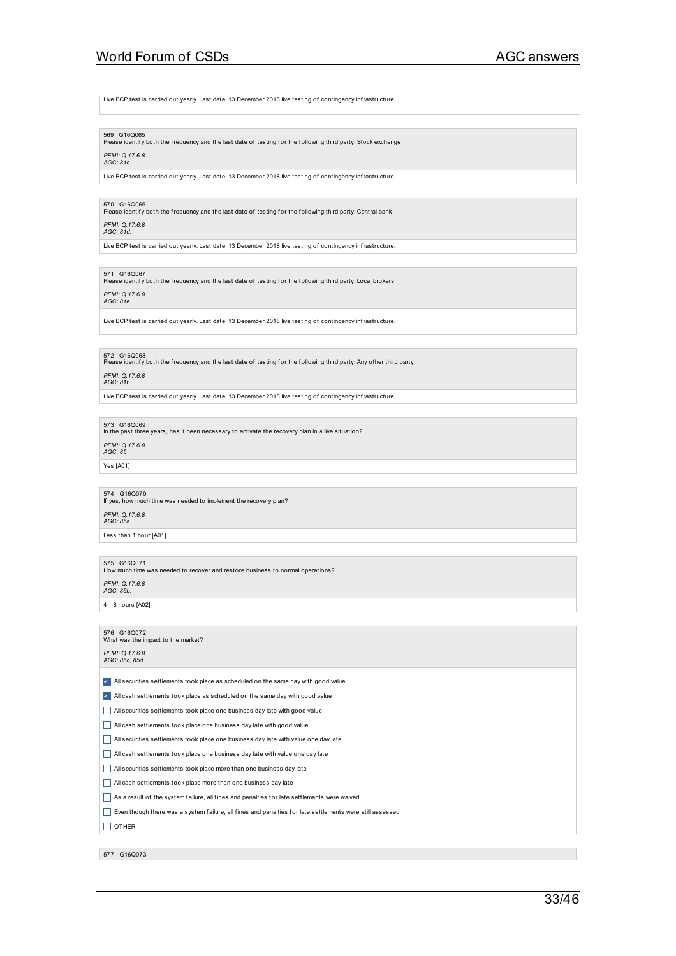Live BCP test is carried out yearly. Last date: 13 December 2018 live testing of contingency infrastructure.

569 G16Q065<br>Please identify both the frequency and the last date of testing for the following third party: Stock exchange

### *PFMI: Q.17.6.8 AGC: 81c.*

Live BCP test is carried out yearly. Last date: 13 December 2018 live testing of contingency infrastructure.

### 570 G16Q066

Please identif y both the frequency and the last date of testing f or the f ollowing third party: Central bank

### *PFMI: Q.17.6.8 AGC: 81d.*

Live BCP test is carried out yearly. Last date: 13 December 2018 live testing of contingency infrastructure.

571 G16Q067<br>Please identify both the frequency and the last date of testing for the following third party: Local brokers

## *PFMI: Q.17.6.8 AGC: 81e.*

Live BCP test is carried out yearly. Last date: 13 December 2018 live testing of contingency infrastructure.

572 G16Q068<br>Please identify both the frequency and the last date of testing for the following third party: Any other third party

### *PFMI: Q.17.6.8 AGC: 81f.*

Live BCP test is carried out yearly. Last date: 13 December 2018 live testing of contingency infrastructure.

### 573 G16Q069

In the past three years, has it been necessary to activate the recovery plan in a live situation?

*PFMI: Q.17.6.8 AGC: 85*

Yes [A01]

574 G16Q070 If yes, how much time was needed to implement the recovery plan? *PFMI: Q.17.6.8*

*AGC: 85a.*

Less than 1 hour [A01]

575 G16Q071<br>How much time was needed to recover and restore business to normal operations?

*PFMI: Q.17.6.8 AGC: 85b.*

4 - 8 hours [A02]

576 G16Q072<br>What was the impact to the market?

### *PFMI: Q.17.6.8 AGC: 85c, 85d.*

✔ All securities settlements took place as scheduled on the same day with good value

- ✔ All cash settlements took place as scheduled on the same day with good value
- All securities settlements took place one business day late with good value
- All cash settlements took place one business day late with good value
- All securities settlements took place one business day late with value one day late
- $\Box$  All cash settlements took place one business day late with value one day late
- All securities settlements took place more than one business day late
- All cash settlements took place more than one business day late
- $\Box$  As a result of the system failure, all fines and penalties for late settlements were waived
- Even though there was a system failure, all fines and penalties for late settlements were still assessed

### $\Box$  OTHER:

577 G16Q073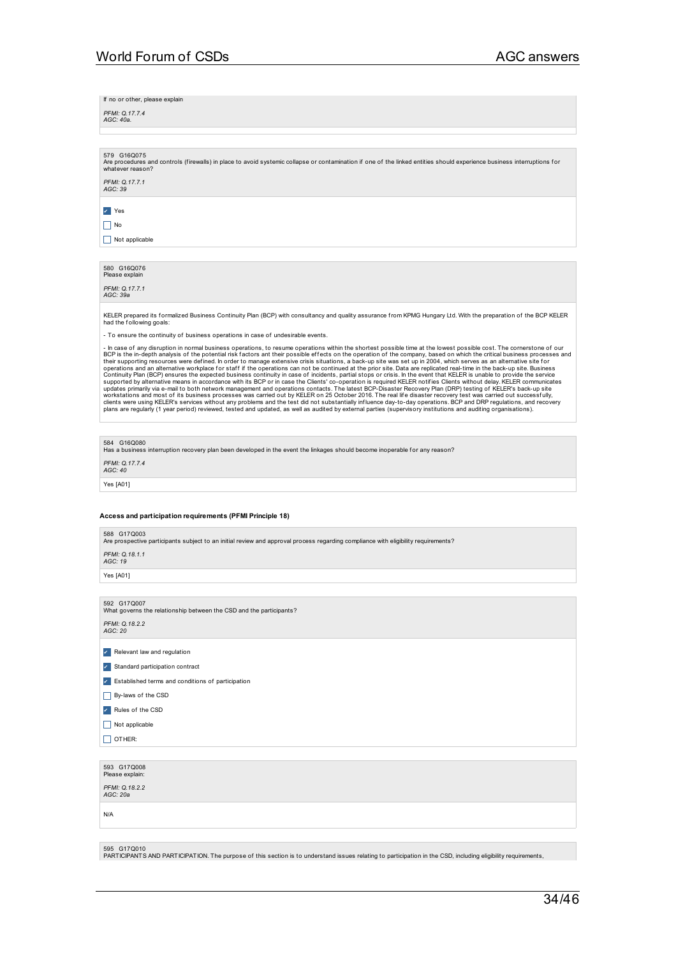If no or other, please explain

*PFMI: Q.17.7.4 AGC: 40a.*

579 G16Q075 and controls (firewalls) in place to avoid systemic collapse or contamination if one of the linked entities should experience business interruptions for whatever reason? *PFMI: Q.17.7.1 AGC: 39*

✔ Yes

 $\prod$  No

 $\Box$  Not applicable

580 G16Q076 Please explair

*PFMI: Q.17.7.1 AGC: 39a*

KELER prepared its formalized Business Continuity Plan (BCP) with consultancy and quality assurance from KPMG Hungary Ltd. With the preparation of the BCP KELER<br>had the following goals:

- To ensure the continuity of business operations in case of undesirable events.

- In case of any disruption in normal business operations, to resume operations within the shortest possible ime at the lowest possible. The cornerstore of our company, based on which the critical business processes and th

584 G16Q080

.....<br>hess interruption recovery plan been developed in the event the linkages should become inoperable for any reason?

*PFMI: Q.17.7.4 AGC: 40*

Yes [A01]

### **Access and participation requirements (PFMI Principle 18)**

588 G17Q003

Are prospective participants subject to an initial review and approval process regarding compliance with eligibility requirements?

*PFMI: Q.18.1.1 AGC: 19*

Yes [A01]

592 G17Q007 What governs the relationship between the CSD and the participants?

*PFMI: Q.18.2.2 AGC: 20*

✔ Relevant law and regulation

✔ Standard participation contract

✔ Established terms and conditions of participation

 $\Box$  By-laws of the CSD

✔ Rules of the CSD

 $\Box$  Not applicable

 $\Box$  OTHER:

| 593 G17Q008<br>Please explain: |  |  |
|--------------------------------|--|--|
| PFMI: Q.18.2.2<br>AGC: 20a     |  |  |
| N/A                            |  |  |
|                                |  |  |

595 G17Q010

PARTICIPANTS AND PARTICIPATION. The purpose of this section is to understand issues relating to participation in the CSD, including eligibility requirements,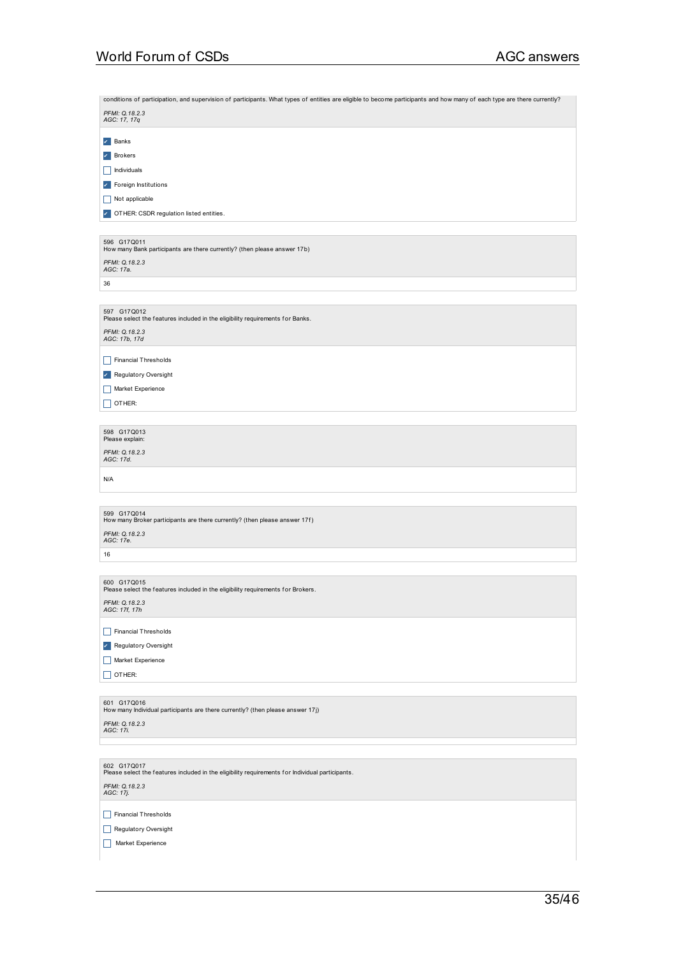| conditions of participation, and supervision of participants. What types of entities are eligible to become participants and how many of each type are there currently? |
|-------------------------------------------------------------------------------------------------------------------------------------------------------------------------|
| PFMI: Q.18.2.3<br>AGC: 17, 17q                                                                                                                                          |
| $\angle$ Banks                                                                                                                                                          |
| ×.<br>Brokers                                                                                                                                                           |
| Individuals<br>L                                                                                                                                                        |
| Foreign Institutions<br>×.                                                                                                                                              |
| Not applicable                                                                                                                                                          |
| OTHER: CSDR regulation listed entities.<br>$\mathcal{L}_{\mathcal{A}}$                                                                                                  |
|                                                                                                                                                                         |
| 596 G17Q011<br>How many Bank participants are there currently? (then please answer 17b)                                                                                 |
| PFMI: Q.18.2.3                                                                                                                                                          |
| AGC: 17a.                                                                                                                                                               |
| 36                                                                                                                                                                      |
| 597 G17Q012                                                                                                                                                             |
| Please select the features included in the eligibility requirements for Banks.                                                                                          |
| PFMI: Q.18.2.3<br>AGC: 17b, 17d                                                                                                                                         |
| Financial Thresholds<br>ப                                                                                                                                               |
| Regulatory Oversight<br>×.                                                                                                                                              |
| Market Experience                                                                                                                                                       |
| OTHER:                                                                                                                                                                  |
|                                                                                                                                                                         |
| 598 G17Q013                                                                                                                                                             |
| Please explain:<br>PFMI: Q.18.2.3                                                                                                                                       |
| AGC: 17d.                                                                                                                                                               |
| N/A                                                                                                                                                                     |
|                                                                                                                                                                         |
| 599 G17Q014<br>How many Broker participants are there currently? (then please answer 17f)                                                                               |
| PFMI: Q.18.2.3                                                                                                                                                          |
| AGC: 17e.                                                                                                                                                               |
| 16                                                                                                                                                                      |
| 600 G17Q015                                                                                                                                                             |
| Please select the features included in the eligibility requirements for Brokers.                                                                                        |
| PFMI: Q.18.2.3<br>AGC: 17f, 17h                                                                                                                                         |
| <b>Financial Thresholds</b><br>H                                                                                                                                        |
| Regulatory Oversight<br>×.                                                                                                                                              |
| Market Experience<br>H                                                                                                                                                  |
| $\Box$ OTHER:                                                                                                                                                           |
|                                                                                                                                                                         |
| 601 G17Q016<br>How many Individual participants are there currently? (then please answer 17j)                                                                           |
| PFMI: Q.18.2.3                                                                                                                                                          |
| AGC: 17i.                                                                                                                                                               |
|                                                                                                                                                                         |
| 602 G17Q017<br>Please select the features included in the eligibility requirements for Individual participants.                                                         |
| PFMI: Q.18.2.3                                                                                                                                                          |
| AGC: 17j.                                                                                                                                                               |
| <b>Financial Thresholds</b><br>H                                                                                                                                        |
| Regulatory Oversight                                                                                                                                                    |
| Market Experience                                                                                                                                                       |
|                                                                                                                                                                         |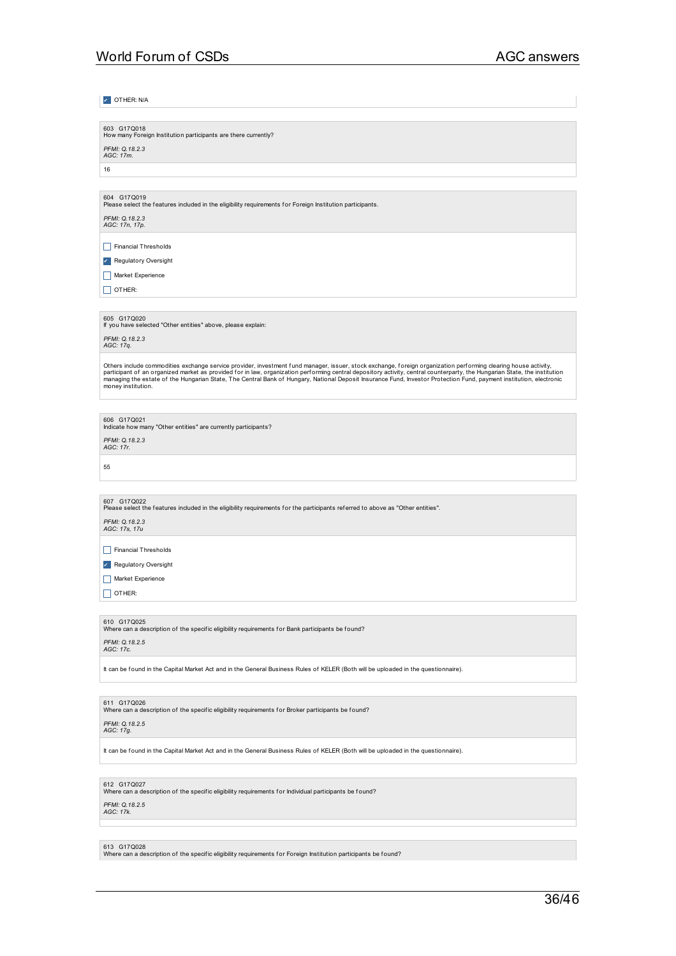| V OTHER: N/A                                                                                                                                                                                                                                                                                                                                                                                                                                                                                                                               |
|--------------------------------------------------------------------------------------------------------------------------------------------------------------------------------------------------------------------------------------------------------------------------------------------------------------------------------------------------------------------------------------------------------------------------------------------------------------------------------------------------------------------------------------------|
|                                                                                                                                                                                                                                                                                                                                                                                                                                                                                                                                            |
| 603 G17Q018<br>How many Foreign Institution participants are there currently?                                                                                                                                                                                                                                                                                                                                                                                                                                                              |
| PFMI: Q.18.2.3<br>AGC: 17m.                                                                                                                                                                                                                                                                                                                                                                                                                                                                                                                |
| 16                                                                                                                                                                                                                                                                                                                                                                                                                                                                                                                                         |
|                                                                                                                                                                                                                                                                                                                                                                                                                                                                                                                                            |
| 604 G17Q019<br>Please select the features included in the eligibility requirements for Foreign Institution participants.                                                                                                                                                                                                                                                                                                                                                                                                                   |
| PFMI: Q.18.2.3<br>AGC: 17n, 17p.                                                                                                                                                                                                                                                                                                                                                                                                                                                                                                           |
| <b>Financial Thresholds</b>                                                                                                                                                                                                                                                                                                                                                                                                                                                                                                                |
| Regulatory Oversight<br>৴                                                                                                                                                                                                                                                                                                                                                                                                                                                                                                                  |
| Market Experience                                                                                                                                                                                                                                                                                                                                                                                                                                                                                                                          |
| OTHER:                                                                                                                                                                                                                                                                                                                                                                                                                                                                                                                                     |
| 605 G17Q020<br>If you have selected "Other entities" above, please explain:                                                                                                                                                                                                                                                                                                                                                                                                                                                                |
| PFMI: Q.18.2.3<br>AGC: 17q.                                                                                                                                                                                                                                                                                                                                                                                                                                                                                                                |
| Others include commodities exchange service provider, investment fund manager, issuer, stock exchange, foreign organization performing clearing house activity,<br>participant of an organized market as provided for in law, organization performing central depository activity, central counterparty, the Hungarian State, the institution<br>managing the estate of the Hungarian State, The Central Bank of Hungary, National Deposit Insurance Fund, Investor Protection Fund, payment institution, electronic<br>money institution. |
|                                                                                                                                                                                                                                                                                                                                                                                                                                                                                                                                            |
| 606 G17Q021<br>Indicate how many "Other entities" are currently participants?                                                                                                                                                                                                                                                                                                                                                                                                                                                              |
| PFMI: Q.18.2.3<br>AGC: 17r.                                                                                                                                                                                                                                                                                                                                                                                                                                                                                                                |
| 55                                                                                                                                                                                                                                                                                                                                                                                                                                                                                                                                         |
|                                                                                                                                                                                                                                                                                                                                                                                                                                                                                                                                            |
| 607 G17Q022<br>Please select the features included in the eligibility requirements for the participants referred to above as "Other entities".                                                                                                                                                                                                                                                                                                                                                                                             |
| PFMI: Q.18.2.3<br>AGC: 17s, 17u                                                                                                                                                                                                                                                                                                                                                                                                                                                                                                            |
| <b>Financial Thresholds</b>                                                                                                                                                                                                                                                                                                                                                                                                                                                                                                                |
| <b>Regulatory Oversight</b><br>×.                                                                                                                                                                                                                                                                                                                                                                                                                                                                                                          |
| Market Experience                                                                                                                                                                                                                                                                                                                                                                                                                                                                                                                          |
| OTHER:                                                                                                                                                                                                                                                                                                                                                                                                                                                                                                                                     |
|                                                                                                                                                                                                                                                                                                                                                                                                                                                                                                                                            |
| 610 G17Q025<br>Where can a description of the specific eligibility requirements for Bank participants be found?                                                                                                                                                                                                                                                                                                                                                                                                                            |
| PFMI: Q.18.2.5<br>AGC: 17c.                                                                                                                                                                                                                                                                                                                                                                                                                                                                                                                |
| It can be found in the Capital Market Act and in the General Business Rules of KELER (Both will be uploaded in the questionnaire).                                                                                                                                                                                                                                                                                                                                                                                                         |
|                                                                                                                                                                                                                                                                                                                                                                                                                                                                                                                                            |
| 611 G17Q026<br>Where can a description of the specific eligibility requirements for Broker participants be found?                                                                                                                                                                                                                                                                                                                                                                                                                          |
| PFMI: Q.18.2.5<br>AGC: 17g.                                                                                                                                                                                                                                                                                                                                                                                                                                                                                                                |
| It can be found in the Capital Market Act and in the General Business Rules of KELER (Both will be uploaded in the questionnaire).                                                                                                                                                                                                                                                                                                                                                                                                         |
|                                                                                                                                                                                                                                                                                                                                                                                                                                                                                                                                            |
| 612 G17Q027<br>Where can a description of the specific eligibility requirements for Individual participants be found?                                                                                                                                                                                                                                                                                                                                                                                                                      |
| PFMI: Q.18.2.5<br>AGC: 17k.                                                                                                                                                                                                                                                                                                                                                                                                                                                                                                                |

613 G17Q028<br>Where can a description of the specific eligibility requirements for Foreign Institution participants be found?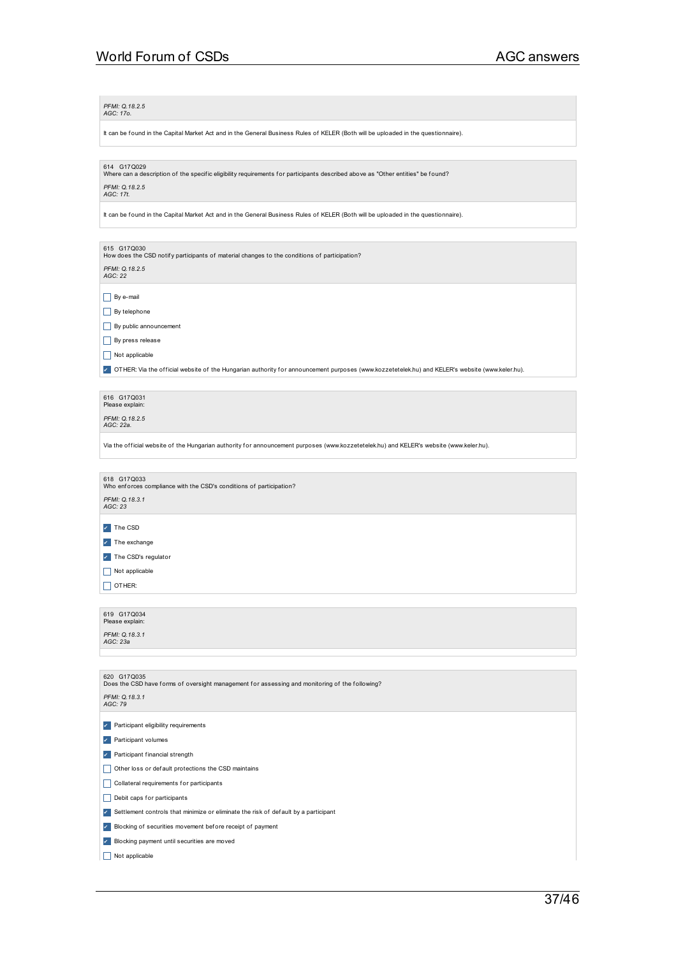### *PFMI: Q.18.2.5 AGC: 17o.*

It can be found in the Capital Market Act and in the General Business Rules of KELER (Both will be uploaded in the questionnaire).

614 G17Q029<br>Where can a description of the specific eligibility requirements for participants described above as "Other entities" be found?

## *PFMI: Q.18.2.5 AGC: 17t.*

It can be found in the Capital Market Act and in the General Business Rules of KELER (Both will be uploaded in the questionnaire).

615 G17Q030<br>How does the CSD notify participants of material changes to the conditions of participation?

*PFMI: Q.18.2.5 AGC: 22*

 $\Box$  By e-mail

 $\Box$  By telephone

By public announcement

 $\Box$  By press release

 $\Box$  Not applicable

7 OTHER: Via the official website of the Hungarian authority for announcement purposes (www.kozzetetelek.hu) and KELER's website (www.keler.hu).

616 G17Q031<br>Please explain: *PFMI: Q.18.2.5 AGC: 22a.*

Via the official website of the Hungarian authority for announcement purposes (www.kozzetetelek.hu) and KELER's website (www.keler.hu).

618 G17Q033<br>Who enforces compliance with the CSD's conditions of participation? *PFMI: Q.18.3.1 AGC: 23*

✔ The CSD

✔ The exchange

✔ The CSD's regulator  $\Box$  Not applicable

 $\Box$  OTHER:

619 G17Q034<br>Please explain:

| PFMI: 0.18.3.1<br>AGC: 23a |  |  |
|----------------------------|--|--|
|                            |  |  |
| 620 G17Q035                |  |  |

| Does the CSD have forms of oversight management for assessing and monitoring of the following? |  |
|------------------------------------------------------------------------------------------------|--|
|                                                                                                |  |

### *PFMI: Q.18.3.1 AGC: 79*

✔ Participant eligibility requirements

✔ Participant volumes

✔ Participant f inancial strength

Other loss or def ault protections the CSD maintains

**Collateral requirements for participants** 

 $\Box$  Debit caps for participants

✔ Settlement controls that minimize or eliminate the risk of def ault by a participant

✔ Blocking of securities movement bef ore receipt of payment

✔ Blocking payment until securities are moved

 $\Box$  Not applicable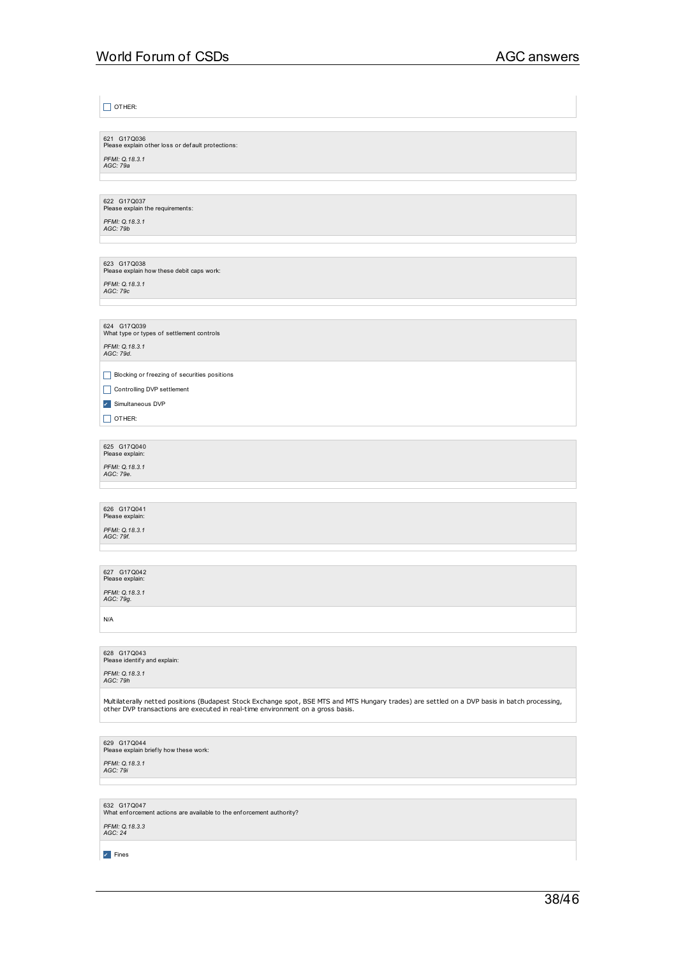$\Box$  OTHER:

621 G17Q036<br>Please explain other loss or def ault protections: *PFMI: Q.18.3.1 AGC: 79a*

622 G17Q037<br>Please explain the requirements:

*PFMI: Q.18.3.1 AGC: 79b*

623 G17Q038<br>Please explain how these debit caps work: *PFMI: Q.18.3.1 AGC: 79c*

624 G17Q039<br>What type or types of settlement controls

*PFMI: Q.18.3.1 AGC: 79d.*

\_ Blocking or freezing of securities positions

Controlling DVP settlement

✔ Simultaneous DVP

 $\Box$  OTHER:

625 G17Q040<br>Please explain: *PFMI: Q.18.3.1 AGC: 79e.*

626 G17Q041<br>Please explain: *PFMI: Q.18.3.1 AGC: 79f.*

627 G17Q042<br>Please explain: *PFMI: Q.18.3.1 AGC: 79g.*

N/A

628 G17Q043<br>Please identify and explain:

*PFMI: Q.18.3.1 AGC: 79h*

Multilaterally netted positions (Budapest Stock Exchange spot, BSE MTS and MTS Hungary trades) are settled on a DVP basis in batch processing, other DVP transactions are executed in real-time environment on a gross basis.

629 G17Q044<br>Please explain brief ly how these work:

*PFMI: Q.18.3.1 AGC: 79i*

632 G17Q047<br>What enforcement actions are available to the enforcement authority?

*PFMI: Q.18.3.3 AGC: 24*

✔ Fines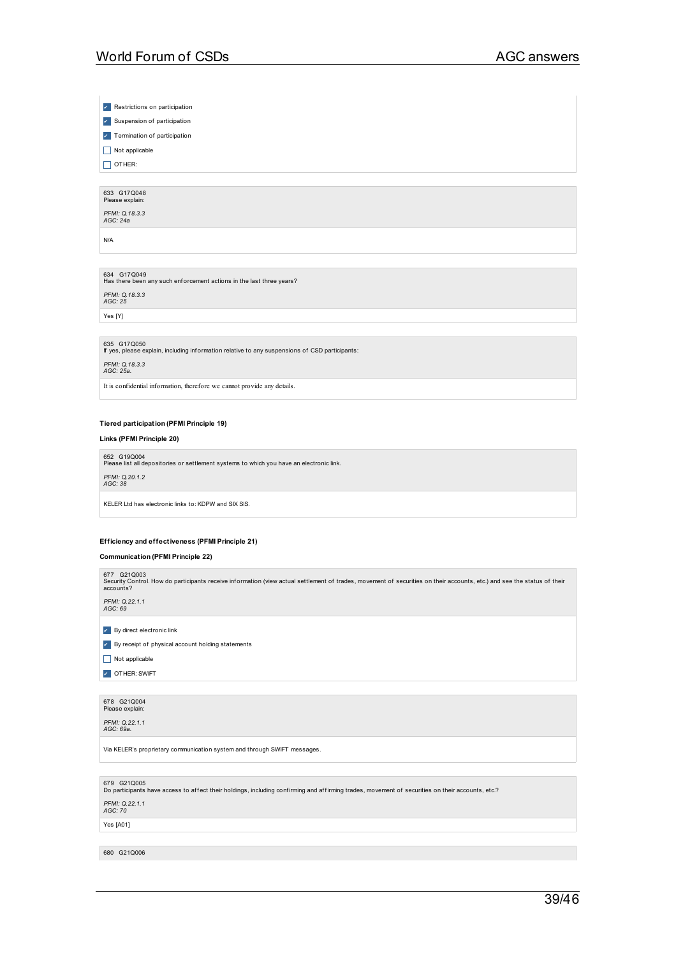✔ Restrictions on participation

✔ Suspension of participation

✔ Termination of participation

 $\Box$  Not applicable

 $\Box$  OTHER:

## 633 G17Q048<br>Please explain: *PFMI: Q.18.3.3 AGC: 24a*

N/A

## 634 G17Q049<br>Has there been any such enforcement actions in the last three years? *PFMI: Q.18.3.3 AGC: 25*

Yes [Y]

635 G17Q050 If yes, please explain, including inf ormation relative to any suspensions of CSD participants:

*PFMI: Q.18.3.3 AGC: 25a.*

It is confidential information, therefore we cannot provide any details.

### **Tiered participation (PFMI Principle 19)**

**Links (PFMI Principle 20)**

652 G19Q004<br>Please list all depositories or settlement systems to which you have an electronic link. *PFMI: Q.20.1.2 AGC: 38*

KELER Ltd has electronic links to: KDPW and SIX SIS.

### **Efficiency and effectiveness (PFMI Principle 21)**

**Communication (PFMI Principle 22)**

677 G21Q003<br>Security Control. How do participants receive information (view actual settlement of trades, movement of securities on their accounts, etc.) and see the status of their<br>accounts? *PFMI: Q.22.1.1 AGC: 69*

✔ By direct electronic link

✔ By receipt of physical account holding statements

 $\Box$  Not applicable

**7** OTHER: SWIFT

678 G21Q004<br>Please explain:

*PFMI: Q.22.1.1 AGC: 69a.*

Via KELER's proprietary communication system and through SWIFT messages.

679 G21Q005<br>Do participants have access to affect their holdings, including confirming and affirming trades, movement of securities on their accounts, etc.?

*PFMI: Q.22.1.1 AGC: 70*

Yes [A01]

680 G21Q006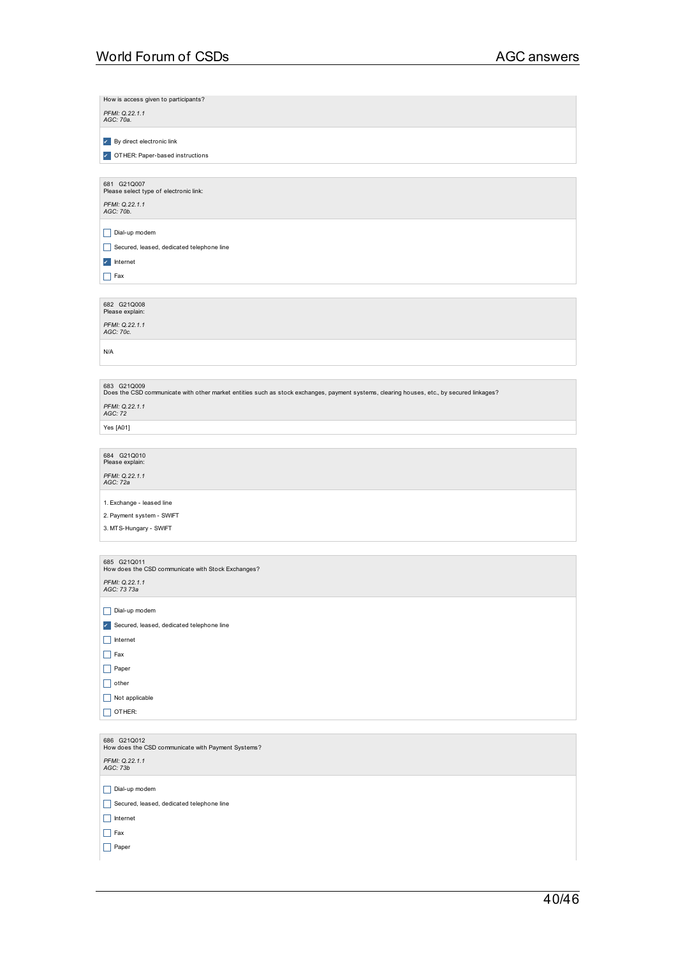| How is access given to participants?                                                                                                                     |
|----------------------------------------------------------------------------------------------------------------------------------------------------------|
| PFMI: Q.22.1.1<br>AGC: 70a.                                                                                                                              |
|                                                                                                                                                          |
| By direct electronic link<br>$\mathcal{L}_{\rm{c}}$                                                                                                      |
| OTHER: Paper-based instructions                                                                                                                          |
| 681 G21Q007                                                                                                                                              |
| Please select type of electronic link:                                                                                                                   |
| PFMI: Q.22.1.1<br>AGC: 70b.                                                                                                                              |
|                                                                                                                                                          |
| Dial-up modem                                                                                                                                            |
| Secured, leased, dedicated telephone line                                                                                                                |
| Internet<br>$\mathcal{S}_{\mathcal{A}}$                                                                                                                  |
| $\vert$ Fax                                                                                                                                              |
|                                                                                                                                                          |
| 682 G21Q008<br>Please explain:                                                                                                                           |
| PFMI: Q.22.1.1<br>AGC: 70c.                                                                                                                              |
|                                                                                                                                                          |
| N/A                                                                                                                                                      |
|                                                                                                                                                          |
| 683 G21Q009<br>Does the CSD communicate with other market entities such as stock exchanges, payment systems, clearing houses, etc., by secured linkages? |
| PFMI: 0.22.1.1                                                                                                                                           |
| AGC: 72                                                                                                                                                  |
| Yes [A01]                                                                                                                                                |
| 684 G21Q010                                                                                                                                              |
| Please explain:                                                                                                                                          |
| PFMI: Q.22.1.1<br>AGC: 72a                                                                                                                               |
|                                                                                                                                                          |
| 1. Exchange - leased line<br>2. Payment system - SWIFT                                                                                                   |
| 3. MTS-Hungary - SWIFT                                                                                                                                   |
|                                                                                                                                                          |
| 685 G21Q011                                                                                                                                              |
| How does the CSD communicate with Stock Exchanges?                                                                                                       |
| PFMI: Q.22.1.1<br>AGC: 73 73a                                                                                                                            |
|                                                                                                                                                          |
| Dial-up modem                                                                                                                                            |
| Secured, leased, dedicated telephone line<br>$\mathcal{S}_{\mathcal{A}}$<br>Internet                                                                     |
| $\mathsf{L}$<br>Fax<br>Ш                                                                                                                                 |
| Paper<br>H                                                                                                                                               |
| other<br>$\mathsf{L}$                                                                                                                                    |
| Not applicable<br>H                                                                                                                                      |
| OTHER:                                                                                                                                                   |
|                                                                                                                                                          |
| 686 G21Q012                                                                                                                                              |
| How does the CSD communicate with Payment Systems?<br>PFMI: Q.22.1.1                                                                                     |
| AGC: 73b                                                                                                                                                 |
| Dial-up modem<br>H                                                                                                                                       |
| Secured, leased, dedicated telephone line<br>$\mathsf{L}$                                                                                                |
| $\mathsf{L}$<br>Internet                                                                                                                                 |
| $\Box$ Fax                                                                                                                                               |
| $\Box$ Paper                                                                                                                                             |
|                                                                                                                                                          |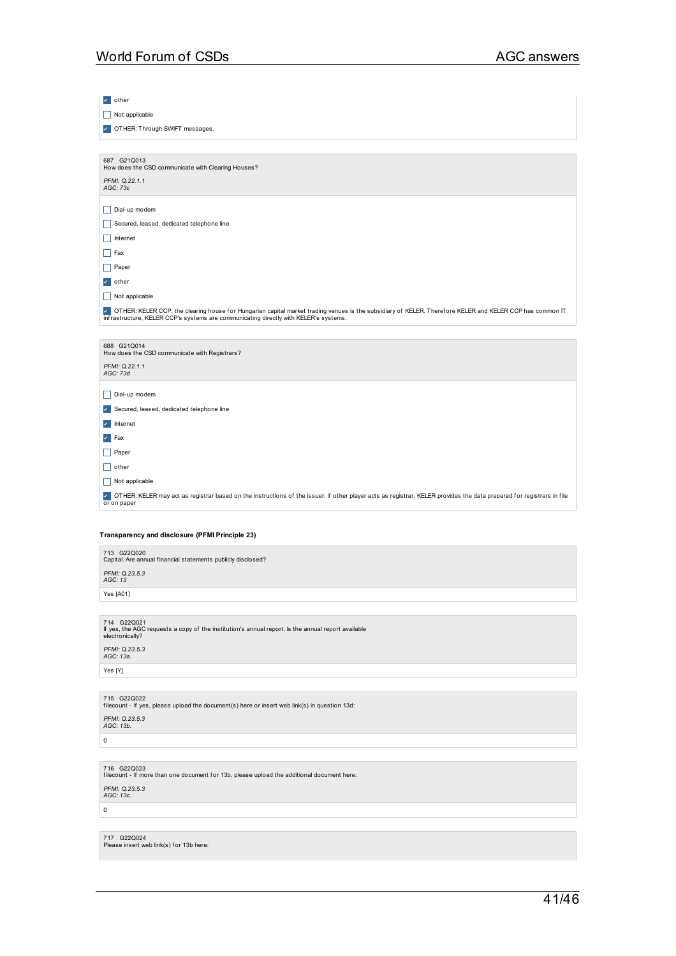| $\mathcal{L}$ other                                                                                                                                                                                                                              |
|--------------------------------------------------------------------------------------------------------------------------------------------------------------------------------------------------------------------------------------------------|
| Not applicable                                                                                                                                                                                                                                   |
| DTHER: Through SWIFT messages.                                                                                                                                                                                                                   |
|                                                                                                                                                                                                                                                  |
| 687 G21Q013<br>How does the CSD communicate with Clearing Houses?                                                                                                                                                                                |
| PFMI: Q.22.1.1<br>AGC: 73c                                                                                                                                                                                                                       |
| Dial-up modem<br>Н                                                                                                                                                                                                                               |
| H<br>Secured, leased, dedicated telephone line                                                                                                                                                                                                   |
| Internet<br>$\mathsf{L}$                                                                                                                                                                                                                         |
| $\vert \vert$ Fax                                                                                                                                                                                                                                |
| Paper<br>$\mathsf{L}$                                                                                                                                                                                                                            |
| other<br>$\checkmark$                                                                                                                                                                                                                            |
| Not applicable<br>H                                                                                                                                                                                                                              |
| OTHER: KELER CCP, the clearing house for Hungarian capital market trading venues is the subsidiary of KELER. Therefore KELER and KELER CCP has common IT<br>infrastructure, KELER CCP's systems are communicating directly with KELER's systems. |
|                                                                                                                                                                                                                                                  |
| 688 G21Q014<br>How does the CSD communicate with Registrars?                                                                                                                                                                                     |
| PFMI: Q.22.1.1<br>AGC: 73d                                                                                                                                                                                                                       |
| Dial-up modem<br>L                                                                                                                                                                                                                               |
| Secured, leased, dedicated telephone line<br>$\checkmark$                                                                                                                                                                                        |
| Internet<br>$\mathcal{L}_{\mathcal{A}}$                                                                                                                                                                                                          |
| Fax<br>$\mathcal{L}_{\mathcal{A}}$                                                                                                                                                                                                               |
| Paper<br>II.                                                                                                                                                                                                                                     |
| H<br>other                                                                                                                                                                                                                                       |
| Not applicable<br>H                                                                                                                                                                                                                              |
| OTHER: KELER may act as registrar based on the instructions of the issuer; if other player acts as registrar, KELER provides the data prepared for registrars in file<br>or on paper                                                             |
|                                                                                                                                                                                                                                                  |
| Transparency and disclosure (PFMI Principle 23)                                                                                                                                                                                                  |
| 713 G22Q020<br>Capital. Are annual financial statements publicly disclosed?                                                                                                                                                                      |

*PFMI: Q.23.5.3 AGC: 13* Yes [A01]

714 G22Q021 If yes, the AGC requests a copy of the institution's annual report. Is the annual report available electronically? *PFMI: Q.23.5.3 AGC: 13a.* Yes [Y]

715 G22Q022 f ilecount - If yes, please upload the document(s) here or insert web link(s) in question 13d: *PFMI: Q.23.5.3 AGC: 13b.*

 $\boxed{\circ}$ 

716 G22Q023 f ilecount - If more than one document f or 13b, please upload the additional document here: *PFMI: Q.23.5.3 AGC: 13c.*

 $\overline{\mathbf{0}}$ 

717 G22Q024<br>Please insert web link(s) for 13b here: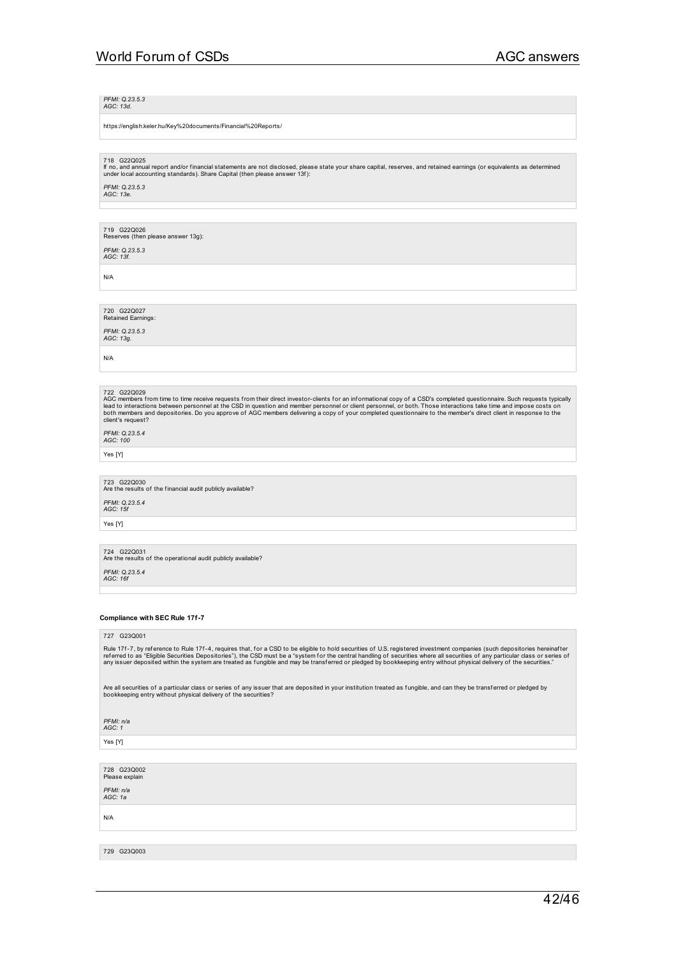*PFMI: Q.23.5.3 AGC: 13d.*

https://english.keler.hu/Key%20documents/Financial%20Reports/

718 G22Q025

lf no, and annual report and/or financial statements are not disclosed, please state your share capital, reserves, and retained earnings (or equivalents as determined<br>under local accounting standards). Share Capital (then

*PFMI: Q.23.5.3 AGC: 13e.*

719 G22Q026 Reserves (then please answer 13g):

*PFMI: Q.23.5.3 AGC: 13f.*

N/A

720 G22Q027 Retained Earnings:

*PFMI: Q.23.5.3 AGC: 13g.*

N/A

722 G220029<br>AGC members from time to time receive requests from their direct investor-clients for an informational copy of a CSD's completed questionnaire. Such requests typically<br>lead to interactions between personnel at

*PFMI: Q.23.5.4 AGC: 100*

Yes [Y]

723 G22Q030<br>Are the results of the financial audit publicly available?

*PFMI: Q.23.5.4 AGC: 15f*

Yes [Y]

724 G22Q031<br>Are the results of the operational audit publicly available? *PFMI: Q.23.5.4 AGC: 16f*

### **Compliance with SEC Rule 17f-7**

### 727 G23Q001

Rule 17f-7, by reference to Rule 17f-4, requires that, for a CSD to be eligible to hold securities of U.S. registered investment companies (such depositories hereinafter<br>referred to as "Eligible Securities Depositories"),

Are all securities of a particular class or series of any issuer that are deposited in your institution treated as fungible, and can they be transferred or pledged by<br>bookkeeping entry without physical delivery of the secu

*PFMI: n/a*

*AGC: 1*

Yes [Y]

728 G23Q002 Please explain

*PFMI: n/a AGC: 1a*

N/A

729 G23Q003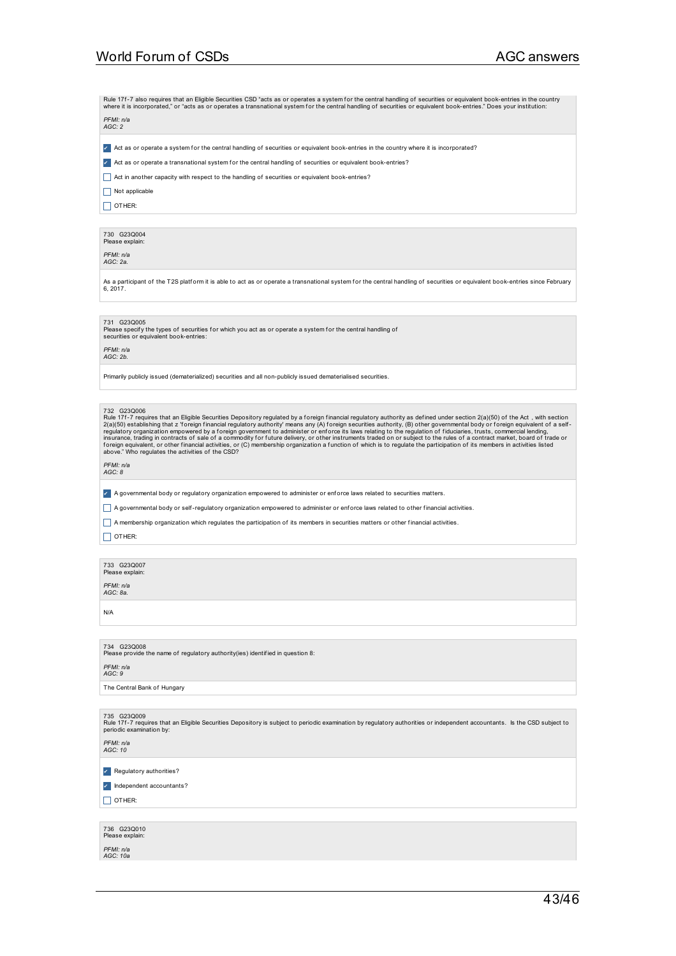Rule 17f-7 also requires that an Eligible Securities CSD "acts as or operates a system for the central handling of securities or equivalent book-entries in the country<br>where it is incorporated," or "acts as or operates a t

| PFMI: n/a |
|-----------|
| AGC: 2    |

Z Act as or operate a system for the central handling of securities or equivalent book-entries in the country where it is incorporated?

び Act as or operate a transnational system for the central handling of securities or equivalent book-entries?

\_ Act in another capacity with respect to the handling of securities or equivalent book-entries?

 $\Box$  Not applicable

 $\Box$  OTHER:

730 G23Q004 Please expl

*PFMI: n/a AGC: 2a.*

As a participant of the T2S platform it is able to act as or operate a transnational system for the central handling of securities or equivalent book-entries since February 6, 2017.

731 G23Q005

Please specify the types of securities for which you act as or operate a system for the central handling of<br>securities or equivalent book-entries:

*PFMI: n/a AGC: 2b.*

Primarily publicly issued (dematerialized) securities and all non-publicly issued dematerialised securities.

732 G230006<br>Rule 171-7 requires that an Eligible Securities Depository regulated by a foreign financial regulatory authority as defined under section 2(a)(50) of the Act, with section<br>2(a)(50) establishing that z 'foreign

*PFMI: n/a AGC: 8*

✔ A governmental body or regulatory organization empowered to administer or enf orce laws related to securities matters.

 $\Box$  A governmental body or self-regulatory organization empowered to administer or enforce laws related to other financial activities.

\_ A membership organization which regulates the participation of its members in securities matters or other f inancial activities.

 $\Box$  OTHER:

| 733 G23Q007<br>Please explain:<br>PFMI: n/a<br>AGC: 8a. |  |  |  |
|---------------------------------------------------------|--|--|--|
| N/A                                                     |  |  |  |

| 734<br>G23Q008<br>Please provide the name of requiatory authority(ies) identified in question 8: |
|--------------------------------------------------------------------------------------------------|
| PFMI: n/a<br>AGC:9                                                                               |
|                                                                                                  |

The Central Bank of Hungary

735  G23Q009<br>Rule 17f-7 requires that an Eligible Securities Depository is subject to periodic examination by regulatory authorities or independent accountants. Is the CSD subject to<br>periodic examination by: *PFMI: n/a*

*AGC: 10*

✔ Regulatory authorities?

✔ Independent accountants?

 $\Box$  OTHER:

|                       | 736 G230010<br>Please explain: |
|-----------------------|--------------------------------|
| PFMI: n/a<br>AGC: 10a |                                |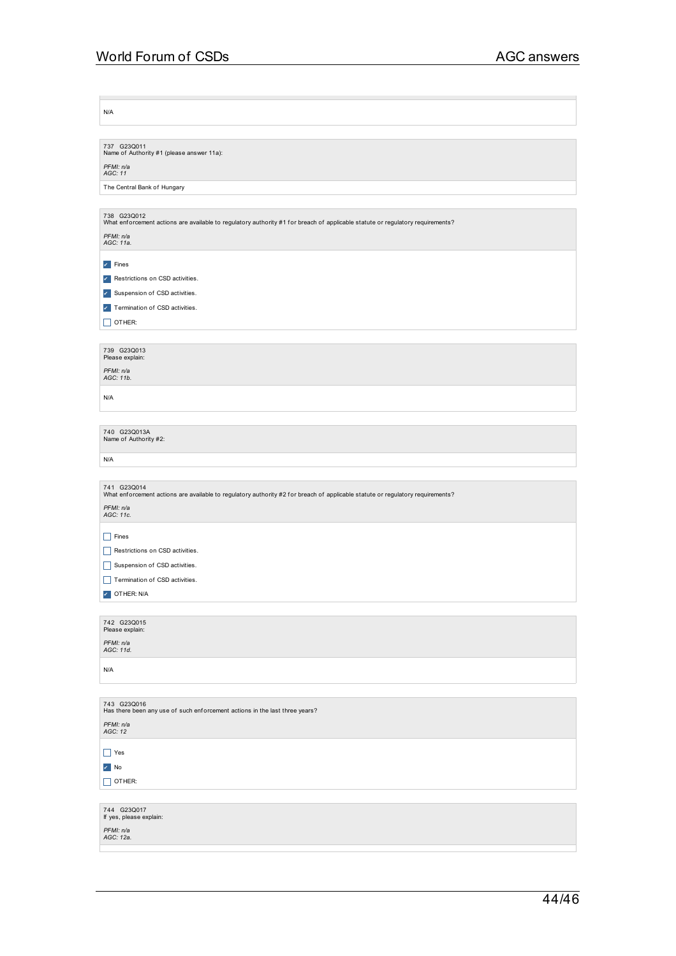N/A

| 737 G23Q011                               |
|-------------------------------------------|
| Name of Authority #1 (please answer 11a): |
|                                           |

*PFMI: n/a AGC: 11*

The Central Bank of Hungary

|                        | 738 G23Q012<br>What enforcement actions are available to regulatory authority #1 for breach of applicable statute or regulatory requirements? |
|------------------------|-----------------------------------------------------------------------------------------------------------------------------------------------|
| PFMI: n/a<br>AGC: 11a. |                                                                                                                                               |
| $\vert$ Fines          |                                                                                                                                               |

| Restrictions on CSD activities. |
|---------------------------------|
| Suspension of CSD activities.   |

**7** Termination of CSD activities.

 $\Box$  OTHER:

| 739 G230013<br>Please explain: |  |
|--------------------------------|--|
| PFMI: n/a<br>AGC: 11b.         |  |

N/A

| 740 G23Q013A<br>Name of Authority #2: |  |  |
|---------------------------------------|--|--|
| N/A                                   |  |  |
|                                       |  |  |

| 741 G23Q014<br>What enforcement actions are available to regulatory authority #2 for breach of applicable statute or regulatory requirements? |
|-----------------------------------------------------------------------------------------------------------------------------------------------|
| PFMI: n/a<br>AGC: 11c.                                                                                                                        |
| Fines<br>I I                                                                                                                                  |
| Restrictions on CSD activities.                                                                                                               |
| Suspension of CSD activities.<br>$\mathbf{I}$                                                                                                 |
| Termination of CSD activities.                                                                                                                |
| OTHER: N/A<br>v                                                                                                                               |
|                                                                                                                                               |
| 742 G23Q015<br>Please explain:                                                                                                                |
| PFMI: n/a<br>AGC: 11d.                                                                                                                        |
| N/A                                                                                                                                           |

| 743 G23Q016<br>Has there been any use of such enforcement actions in the last three years? |
|--------------------------------------------------------------------------------------------|
| PFMI: n/a<br>AGC: 12                                                                       |
| Yes                                                                                        |
| $\mathbf{v}$ No                                                                            |
| $\Box$ OTHER:                                                                              |
|                                                                                            |
| 744 G23Q017<br>If yes, please explain:                                                     |

*PFMI: n/a AGC: 12a.*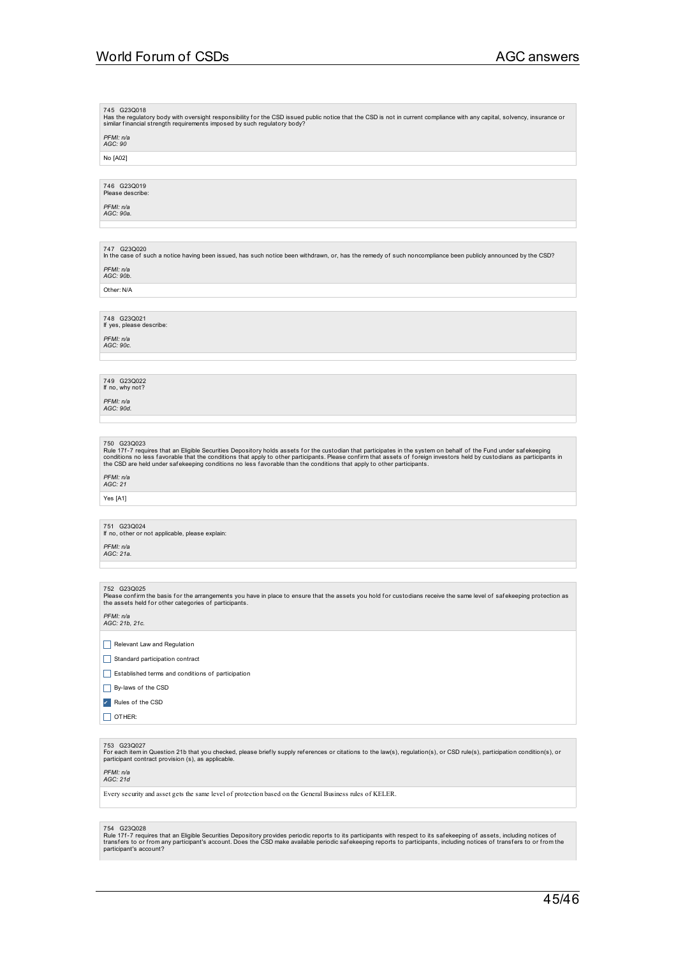745 G23Q018<br>Has the regulatory body with oversight responsibility for the CSD issued public notice that the CSD is not in current compliance with any capital, solvency, insurance or<br>similar financial strength requirements

*PFMI: n/a AGC: 90*

No [A02]

### 746 G23Q019<br>Please describe:

*PFMI: n/a AGC: 90a.*

747 G23Q020 In the case of such a notice having been issued, has such notice been withdrawn, or, has the remedy of such noncompliance been publicly announced by the CSD? *PFMI: n/a AGC: 90b.*

Other: N/A

## 748 G23Q021 If yes, please describe:

*PFMI: n/a AGC: 90c.*

## 749 G23Q022 If no, why not?

*PFMI: n/a AGC: 90d.*

750 G23Q023<br>Rule 17f-7 requires that an Eligible Securities Depository holds assets for the custodian that participates in the system on behalf of the Fund under safekeeping<br>conditions no less favorable that the conditions

## *PFMI: n/a AGC: 21*

Yes [A1]

## 751 G23Q024 If no, other or not applicable, please explain:

*PFMI: n/a AGC: 21a.*

752 G23Q025<br>Please confirm the basis for the arrangements you have in place to ensure that the assets you hold for custodians receive the same level of safekeeping protection as<br>the assets held for other categories of part

*PFMI: n/a AGC: 21b, 21c.*

### Relevant Law and Regulation

- Standard participation contract
- $\Box$  Established terms and conditions of participation
- By-laws of the CSD
- ✔ Rules of the CSD
- $\square$  OTHER:

753 G23Q027<br>For each item in Question 21b that you checked, please briefly supply references or citations to the law(s), regulation(s), or CSD rule(s), participation condition(s), or<br>participant contract provision (s), as

### *PFMI: n/a AGC: 21d*

Every security and asset gets the same level of protection based on the General Business rules of KELER.

754 G23Q028<br>Rule 17f-7 requires that an Eligible Securities Depository provides periodic reports to its participants with respect to its safekeeping of assets, including notices of<br>transfers to or from any participant's